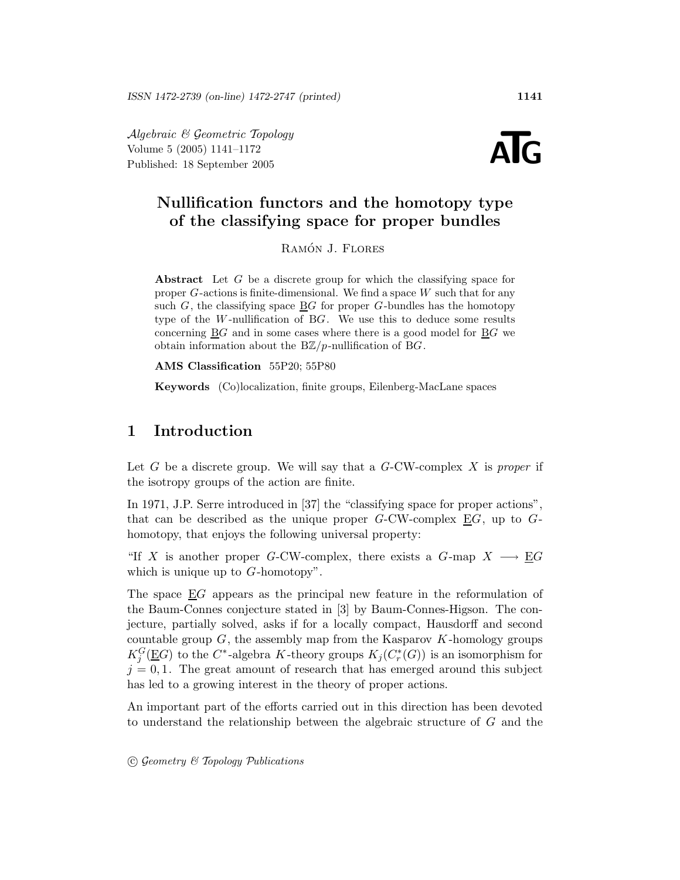Algebraic & Geometric Topology Volume 5 (2005) 1141–1172  $Algebraic \& Geometric\ Topology$ <br>Volume 5 (2005) 1141–1172<br>Published: 18 September 2005



### Nullification functors and the homotopy type of the classifying space for proper bundles

RAMÓN J. FLORES

Abstract Let G be a discrete group for which the classifying space for proper  $G$ -actions is finite-dimensional. We find a space  $W$  such that for any such  $G$ , the classifying space  $\underline{B}G$  for proper G-bundles has the homotopy type of the W -nullification of BG. We use this to deduce some results concerning BG and in some cases where there is a good model for BG we obtain information about the  $B\mathbb{Z}/p$ -nullification of BG.

AMS Classification 55P20; 55P80

Keywords (Co)localization, finite groups, Eilenberg-MacLane spaces

### 1 Introduction

Let G be a discrete group. We will say that a  $G$ -CW-complex X is proper if the isotropy groups of the action are finite.

In 1971, J.P. Serre introduced in [37] the "classifying space for proper actions", that can be described as the unique proper  $G$ -CW-complex  $\underline{E}G$ , up to  $G$ homotopy, that enjoys the following universal property:

"If X is another proper G-CW-complex, there exists a G-map  $X \longrightarrow \underline{E}G$ which is unique up to  $G$ -homotopy".

The space EG appears as the principal new feature in the reformulation of the Baum-Connes conjecture stated in [3] by Baum-Connes-Higson. The conjecture, partially solved, asks if for a locally compact, Hausdorff and second countable group  $G$ , the assembly map from the Kasparov  $K$ -homology groups  $K_j^G(\underline{E}G)$  to the  $C^*$ -algebra K-theory groups  $K_j(C_r^*(G))$  is an isomorphism for  $j = 0, 1$ . The great amount of research that has emerged around this subject has led to a growing interest in the theory of proper actions.

An important part of the efforts carried out in this direction has been devoted to understand the relationship between the algebraic structure of G and the

 $\odot$  Geometry & Topology Publications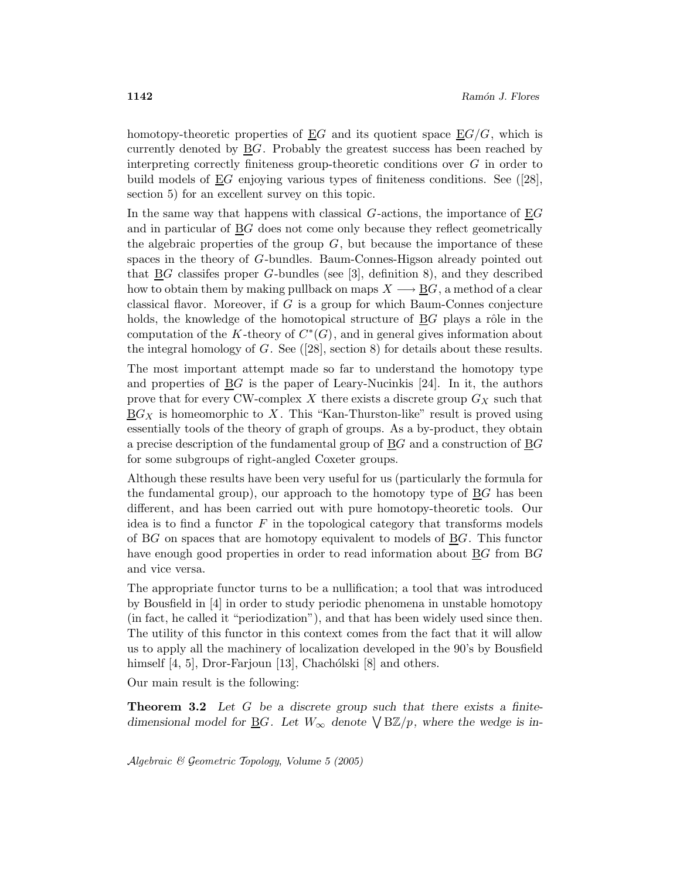homotopy-theoretic properties of  $\underline{E}G$  and its quotient space  $\underline{E}G/G$ , which is currently denoted by  $\underline{B}G$ . Probably the greatest success has been reached by interpreting correctly finiteness group-theoretic conditions over G in order to build models of  $EG$  enjoying various types of finiteness conditions. See ([28], section 5) for an excellent survey on this topic.

In the same way that happens with classical  $G$ -actions, the importance of  $EG$ and in particular of BG does not come only because they reflect geometrically the algebraic properties of the group  $G$ , but because the importance of these spaces in the theory of G-bundles. Baum-Connes-Higson already pointed out that  $BG$  classifes proper  $G$ -bundles (see [3], definition 8), and they described how to obtain them by making pullback on maps  $X \longrightarrow BG$ , a method of a clear classical flavor. Moreover, if  $G$  is a group for which Baum-Connes conjecture holds, the knowledge of the homotopical structure of  $BG$  plays a rôle in the computation of the K-theory of  $C^*(G)$ , and in general gives information about the integral homology of  $G$ . See ([28], section 8) for details about these results.

The most important attempt made so far to understand the homotopy type and properties of  $\underline{B}G$  is the paper of Leary-Nucinkis [24]. In it, the authors prove that for every CW-complex X there exists a discrete group  $G_X$  such that  $\underline{B}G_X$  is homeomorphic to X. This "Kan-Thurston-like" result is proved using essentially tools of the theory of graph of groups. As a by-product, they obtain a precise description of the fundamental group of BG and a construction of BG for some subgroups of right-angled Coxeter groups.

Although these results have been very useful for us (particularly the formula for the fundamental group), our approach to the homotopy type of  $\underline{B}G$  has been different, and has been carried out with pure homotopy-theoretic tools. Our idea is to find a functor  $F$  in the topological category that transforms models of BG on spaces that are homotopy equivalent to models of BG. This functor have enough good properties in order to read information about  $\underline{B}G$  from  $B$ and vice versa.

The appropriate functor turns to be a nullification; a tool that was introduced by Bousfield in [4] in order to study periodic phenomena in unstable homotopy (in fact, he called it "periodization"), and that has been widely used since then. The utility of this functor in this context comes from the fact that it will allow us to apply all the machinery of localization developed in the 90's by Bousfield himself  $[4, 5]$ , Dror-Farjoun  $[13]$ , Chachólski  $[8]$  and others.

Our main result is the following:

**Theorem 3.2** Let G be a discrete group such that there exists a finitedimensional model for <u>B</u>G. Let  $W_{\infty}$  denote  $\sqrt{B\mathbb{Z}/p}$ , where the wedge is in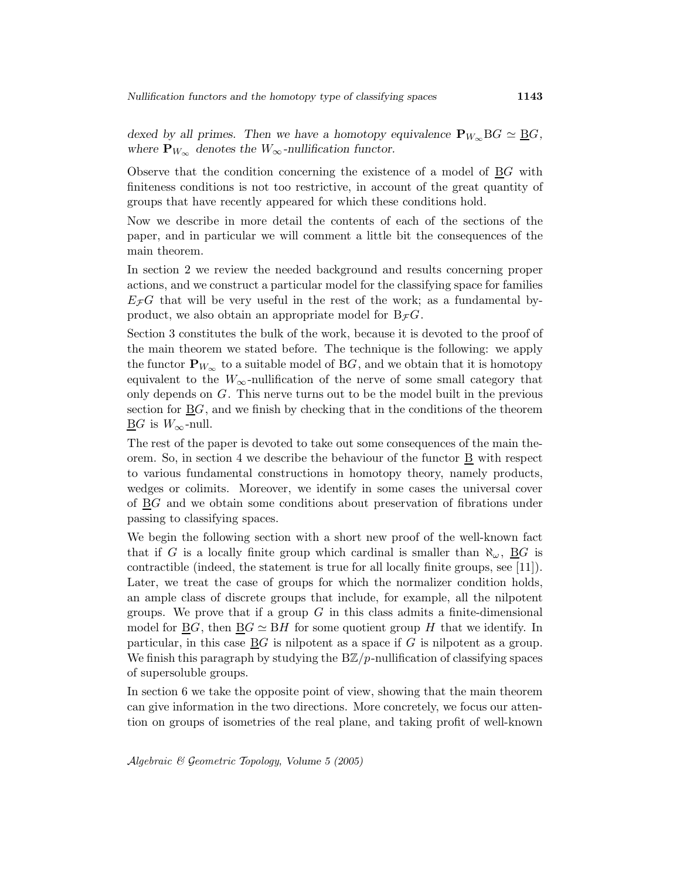dexed by all primes. Then we have a homotopy equivalence  $\mathbf{P}_{W_{\infty}} BG \simeq \underline{BG}$ , where  $\mathbf{P}_{W_{\infty}}$  denotes the  $W_{\infty}$ -nullification functor.

Observe that the condition concerning the existence of a model of BG with finiteness conditions is not too restrictive, in account of the great quantity of groups that have recently appeared for which these conditions hold.

Now we describe in more detail the contents of each of the sections of the paper, and in particular we will comment a little bit the consequences of the main theorem.

In section 2 we review the needed background and results concerning proper actions, and we construct a particular model for the classifying space for families  $E_{\mathcal{F}}G$  that will be very useful in the rest of the work; as a fundamental byproduct, we also obtain an appropriate model for  $B_{\mathcal{F}}G$ .

Section 3 constitutes the bulk of the work, because it is devoted to the proof of the main theorem we stated before. The technique is the following: we apply the functor  $\mathbf{P}_{W_{\infty}}$  to a suitable model of BG, and we obtain that it is homotopy equivalent to the  $W_{\infty}$ -nullification of the nerve of some small category that only depends on G. This nerve turns out to be the model built in the previous section for  $\underline{B}G$ , and we finish by checking that in the conditions of the theorem  $\underline{\mathrm{B}}G$  is  $W_{\infty}$ -null.

The rest of the paper is devoted to take out some consequences of the main theorem. So, in section 4 we describe the behaviour of the functor  $\underline{B}$  with respect to various fundamental constructions in homotopy theory, namely products, wedges or colimits. Moreover, we identify in some cases the universal cover of  $\underline{B}G$  and we obtain some conditions about preservation of fibrations under passing to classifying spaces.

We begin the following section with a short new proof of the well-known fact that if G is a locally finite group which cardinal is smaller than  $\aleph_{\omega}$ ,  $\underline{B}G$  is contractible (indeed, the statement is true for all locally finite groups, see [11]). Later, we treat the case of groups for which the normalizer condition holds, an ample class of discrete groups that include, for example, all the nilpotent groups. We prove that if a group  $G$  in this class admits a finite-dimensional model for  $\underline{B}G$ , then  $\underline{B}G \simeq \underline{B}H$  for some quotient group H that we identify. In particular, in this case  $\underline{B}G$  is nilpotent as a space if G is nilpotent as a group. We finish this paragraph by studying the  $B\mathbb{Z}/p$ -nullification of classifying spaces of supersoluble groups.

In section 6 we take the opposite point of view, showing that the main theorem can give information in the two directions. More concretely, we focus our attention on groups of isometries of the real plane, and taking profit of well-known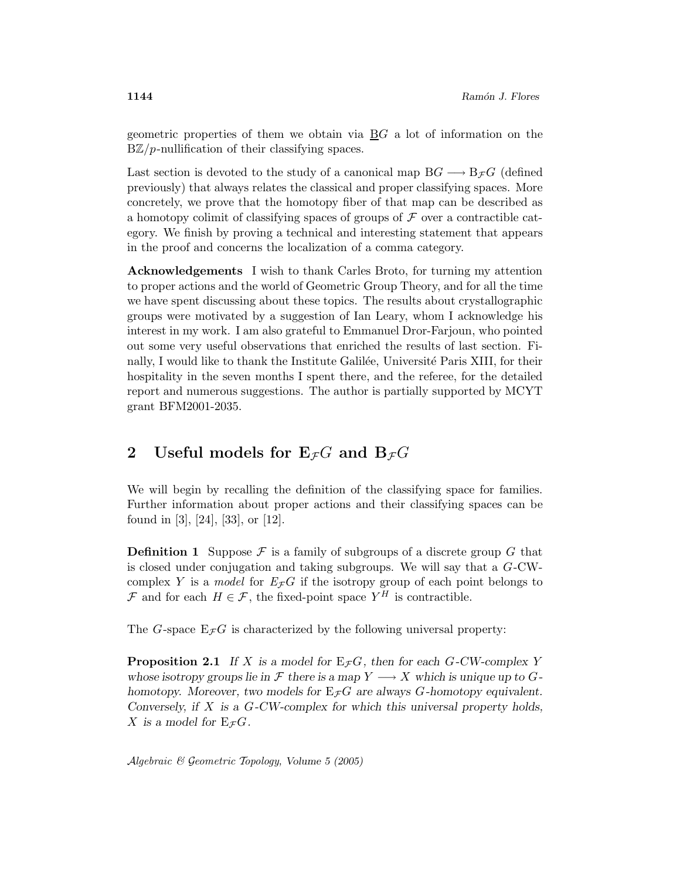geometric properties of them we obtain via  $\underline{B}G$  a lot of information on the  $B\mathbb{Z}/p$ -nullification of their classifying spaces.

Last section is devoted to the study of a canonical map  $BG \longrightarrow B_{\mathcal{F}}G$  (defined previously) that always relates the classical and proper classifying spaces. More concretely, we prove that the homotopy fiber of that map can be described as a homotopy colimit of classifying spaces of groups of  $\mathcal F$  over a contractible category. We finish by proving a technical and interesting statement that appears in the proof and concerns the localization of a comma category.

Acknowledgements I wish to thank Carles Broto, for turning my attention to proper actions and the world of Geometric Group Theory, and for all the time we have spent discussing about these topics. The results about crystallographic groups were motivated by a suggestion of Ian Leary, whom I acknowledge his interest in my work. I am also grateful to Emmanuel Dror-Farjoun, who pointed out some very useful observations that enriched the results of last section. Finally, I would like to thank the Institute Galilée, Université Paris XIII, for their hospitality in the seven months I spent there, and the referee, for the detailed report and numerous suggestions. The author is partially supported by MCYT grant BFM2001-2035.

## 2 Useful models for  $E_{\mathcal{F}}G$  and  $B_{\mathcal{F}}G$

We will begin by recalling the definition of the classifying space for families. Further information about proper actions and their classifying spaces can be found in [3], [24], [33], or [12].

**Definition 1** Suppose  $\mathcal F$  is a family of subgroups of a discrete group G that is closed under conjugation and taking subgroups. We will say that a G-CWcomplex Y is a model for  $E_{\mathcal{F}}G$  if the isotropy group of each point belongs to F and for each  $H \in \mathcal{F}$ , the fixed-point space  $Y^H$  is contractible.

The G-space  $E_{\mathcal{F}}G$  is characterized by the following universal property:

**Proposition 2.1** If X is a model for  $E_{\mathcal{F}}G$ , then for each G-CW-complex Y whose isotropy groups lie in  $\mathcal F$  there is a map  $Y \longrightarrow X$  which is unique up to  $G$ homotopy. Moreover, two models for  $E_{\mathcal{F}}G$  are always G-homotopy equivalent. Conversely, if X is a G-CW-complex for which this universal property holds, X is a model for  $E_{\mathcal{F}}G$ .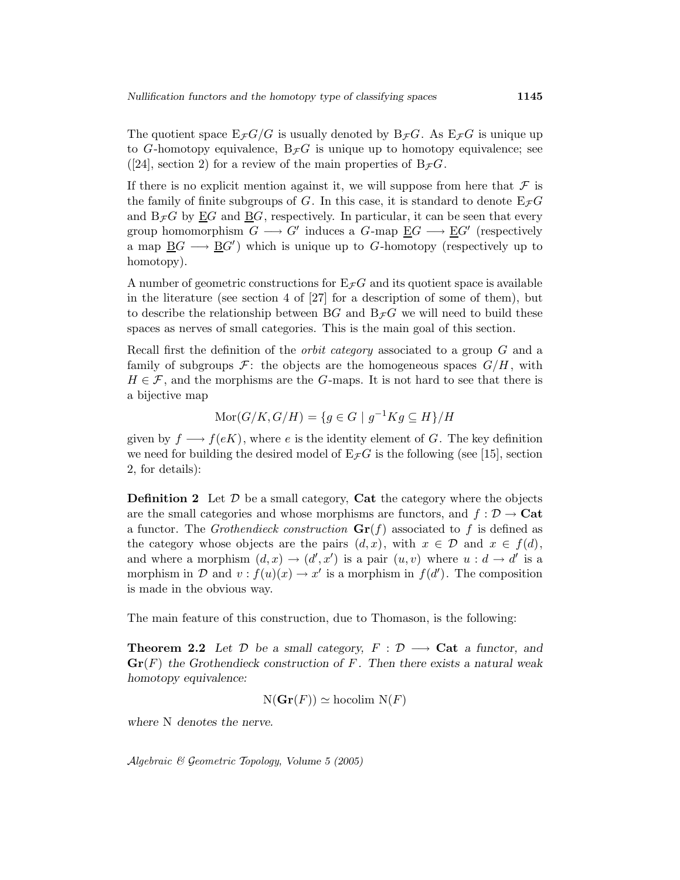The quotient space  $E_{\mathcal{F}}G/G$  is usually denoted by  $B_{\mathcal{F}}G$ . As  $E_{\mathcal{F}}G$  is unique up to G-homotopy equivalence,  $B_{\mathcal{F}}G$  is unique up to homotopy equivalence; see ([24], section 2) for a review of the main properties of  $B_{\mathcal{F}}G$ .

If there is no explicit mention against it, we will suppose from here that  $\mathcal F$  is the family of finite subgroups of G. In this case, it is standard to denote  $E_{\mathcal{F}}G$ and  $B_{\mathcal{F}}G$  by EG and BG, respectively. In particular, it can be seen that every group homomorphism  $G \longrightarrow G'$  induces a  $G$ -map  $\underline{E}G \longrightarrow \underline{E}G'$  (respectively a map  $\underline{B}G \longrightarrow \underline{B}G'$ ) which is unique up to G-homotopy (respectively up to homotopy).

A number of geometric constructions for  $E_{\mathcal{F}}G$  and its quotient space is available in the literature (see section 4 of [27] for a description of some of them), but to describe the relationship between BG and  $B_{\mathcal{F}}G$  we will need to build these spaces as nerves of small categories. This is the main goal of this section.

Recall first the definition of the orbit category associated to a group G and a family of subgroups  $\mathcal{F}$ : the objects are the homogeneous spaces  $G/H$ , with  $H \in \mathcal{F}$ , and the morphisms are the G-maps. It is not hard to see that there is a bijective map

$$
Mor(G/K, G/H) = \{ g \in G \mid g^{-1}Kg \subseteq H \} / H
$$

given by  $f \longrightarrow f(eK)$ , where e is the identity element of G. The key definition we need for building the desired model of  $E \tau G$  is the following (see [15], section 2, for details):

**Definition 2** Let  $\mathcal{D}$  be a small category, **Cat** the category where the objects are the small categories and whose morphisms are functors, and  $f: \mathcal{D} \to \mathbf{Cat}$ a functor. The *Grothendieck construction*  $\mathbf{Gr}(f)$  associated to f is defined as the category whose objects are the pairs  $(d, x)$ , with  $x \in \mathcal{D}$  and  $x \in f(d)$ , and where a morphism  $(d, x) \rightarrow (d', x')$  is a pair  $(u, v)$  where  $u : d \rightarrow d'$  is a morphism in D and  $v: f(u)(x) \to x'$  is a morphism in  $f(d')$ . The composition is made in the obvious way.

The main feature of this construction, due to Thomason, is the following:

**Theorem 2.2** Let  $D$  be a small category,  $F : D \longrightarrow$  Cat a functor, and  $\mathbf{Gr}(F)$  the Grothendieck construction of F. Then there exists a natural weak homotopy equivalence:

 $N({\bf Gr}(F)) \simeq$  hocolim  $N(F)$ 

where N denotes the nerve.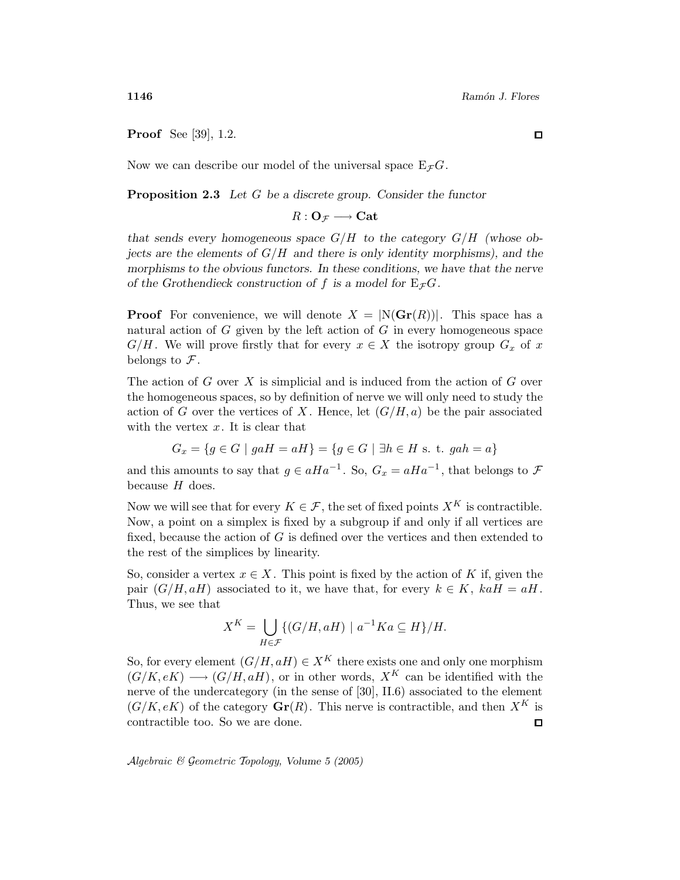Proof See [39], 1.2.

Now we can describe our model of the universal space  $E_{\mathcal{F}}G$ .

**Proposition 2.3** Let  $G$  be a discrete group. Consider the functor

 $R: \mathbf{O}_{\mathcal{F}} \longrightarrow \mathbf{Cat}$ 

that sends every homogeneous space  $G/H$  to the category  $G/H$  (whose objects are the elements of  $G/H$  and there is only identity morphisms), and the morphisms to the obvious functors. In these conditions, we have that the nerve of the Grothendieck construction of f is a model for  $E_{\mathcal{F}}G$ .

**Proof** For convenience, we will denote  $X = |N(Gr(R))|$ . This space has a natural action of  $G$  given by the left action of  $G$  in every homogeneous space  $G/H$ . We will prove firstly that for every  $x \in X$  the isotropy group  $G_x$  of x belongs to  $\mathcal{F}$ .

The action of  $G$  over  $X$  is simplicial and is induced from the action of  $G$  over the homogeneous spaces, so by definition of nerve we will only need to study the action of G over the vertices of X. Hence, let  $(G/H, a)$  be the pair associated with the vertex  $x$ . It is clear that

$$
G_x = \{ g \in G \mid gaH = aH \} = \{ g \in G \mid \exists h \in H \text{ s. t. } gah = a \}
$$

and this amounts to say that  $g \in aHa^{-1}$ . So,  $G_x = aHa^{-1}$ , that belongs to  $\mathcal F$ because  $H$  does.

Now we will see that for every  $K \in \mathcal{F}$ , the set of fixed points  $X^K$  is contractible. Now, a point on a simplex is fixed by a subgroup if and only if all vertices are fixed, because the action of  $G$  is defined over the vertices and then extended to the rest of the simplices by linearity.

So, consider a vertex  $x \in X$ . This point is fixed by the action of K if, given the pair  $(G/H, aH)$  associated to it, we have that, for every  $k \in K$ ,  $kaH = aH$ . Thus, we see that

$$
X^K = \bigcup_{H \in \mathcal{F}} \{ (G/H, aH) \mid a^{-1}Ka \subseteq H \} / H.
$$

So, for every element  $(G/H, aH) \in X^K$  there exists one and only one morphism  $(G/K,eK) \longrightarrow (G/H,aH)$ , or in other words,  $X^K$  can be identified with the nerve of the undercategory (in the sense of [30], II.6) associated to the element  $(G/K, eK)$  of the category  $\mathbf{Gr}(R)$ . This nerve is contractible, and then  $X^K$  is contractible too. So we are done.  $\square$ 

Algebraic & Geometric Topology, Volume 5 (2005)

 $\Box$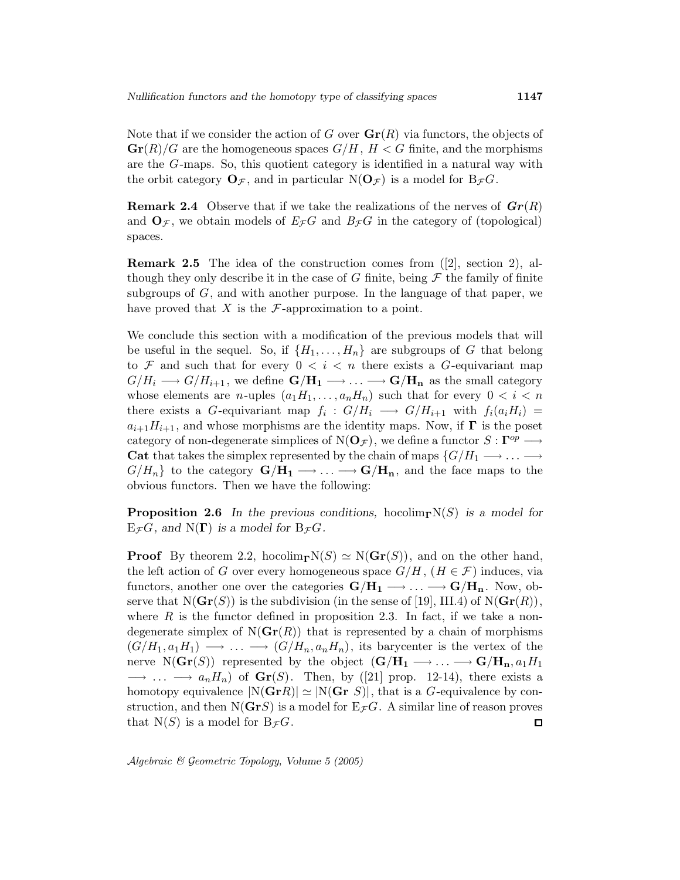Note that if we consider the action of G over  $\mathbf{Gr}(R)$  via functors, the objects of  $\mathbf{Gr}(R)/G$  are the homogeneous spaces  $G/H$ ,  $H < G$  finite, and the morphisms are the G-maps. So, this quotient category is identified in a natural way with the orbit category  $\mathbf{O}_{\mathcal{F}}$ , and in particular  $N(\mathbf{O}_{\mathcal{F}})$  is a model for  $B_{\mathcal{F}}G$ .

**Remark 2.4** Observe that if we take the realizations of the nerves of  $\mathbf{Gr}(R)$ and  $\mathbf{O}_{\mathcal{F}}$ , we obtain models of  $E_{\mathcal{F}}G$  and  $B_{\mathcal{F}}G$  in the category of (topological) spaces.

Remark 2.5 The idea of the construction comes from ([2], section 2), although they only describe it in the case of G finite, being  $\mathcal F$  the family of finite subgroups of  $G$ , and with another purpose. In the language of that paper, we have proved that X is the  $\mathcal F$ -approximation to a point.

We conclude this section with a modification of the previous models that will be useful in the sequel. So, if  $\{H_1,\ldots,H_n\}$  are subgroups of G that belong to  $\mathcal F$  and such that for every  $0 < i < n$  there exists a G-equivariant map  $G/H_i \longrightarrow G/H_{i+1}$ , we define  $G/H_1 \longrightarrow \ldots \longrightarrow G/H_n$  as the small category whose elements are *n*-uples  $(a_1H_1,\ldots,a_nH_n)$  such that for every  $0 < i < n$ there exists a G-equivariant map  $f_i: G/H_i \longrightarrow G/H_{i+1}$  with  $f_i(a_iH_i) =$  $a_{i+1}H_{i+1}$ , and whose morphisms are the identity maps. Now, if  $\Gamma$  is the poset category of non-degenerate simplices of  $N(\mathbf{O}_{\mathcal{F}})$ , we define a functor  $S: \mathbf{\Gamma}^{op} \longrightarrow$ Cat that takes the simplex represented by the chain of maps  $\{G/H_1 \longrightarrow \ldots \longrightarrow$  $G/H_n$ } to the category  $G/H_1 \longrightarrow ... \longrightarrow G/H_n$ , and the face maps to the obvious functors. Then we have the following:

**Proposition 2.6** In the previous conditions, hocolim<sub>Γ</sub>N(S) is a model for  $E_{\mathcal{F}}G$ , and  $N(\Gamma)$  is a model for  $B_{\mathcal{F}}G$ .

**Proof** By theorem 2.2, hocolim<sub>Γ</sub>N(S)  $\simeq$  N( $\mathbf{Gr}(S)$ ), and on the other hand, the left action of G over every homogeneous space  $G/H$ ,  $(H \in \mathcal{F})$  induces, via functors, another one over the categories  $G/H_1 \longrightarrow ... \longrightarrow G/H_n$ . Now, observe that  $N({\bf Gr}(S))$  is the subdivision (in the sense of [19], III.4) of  $N({\bf Gr}(R))$ , where  $R$  is the functor defined in proposition 2.3. In fact, if we take a nondegenerate simplex of  $N(\mathbf{Gr}(R))$  that is represented by a chain of morphisms  $(G/H_1, a_1H_1) \longrightarrow \ldots \longrightarrow (G/H_n, a_nH_n)$ , its barycenter is the vertex of the nerve N( $\mathbf{Gr}(S)$ ) represented by the object  $(\mathbf{G}/\mathbf{H}_1 \longrightarrow \ldots \longrightarrow \mathbf{G}/\mathbf{H}_{\mathbf{n}}, a_1H_1$  $\longrightarrow \dots \longrightarrow a_n H_n$  of  $\mathbf{Gr}(S)$ . Then, by ([21] prop. 12-14), there exists a homotopy equivalence  $|N({\bf Gr} R)| \simeq |N({\bf Gr} S)|$ , that is a G-equivalence by construction, and then N( $\mathbf{G}\mathbf{r}S$ ) is a model for  $E_{\mathcal{F}}G$ . A similar line of reason proves that  $N(S)$  is a model for  $B_{\mathcal{F}}G$ .  $\Box$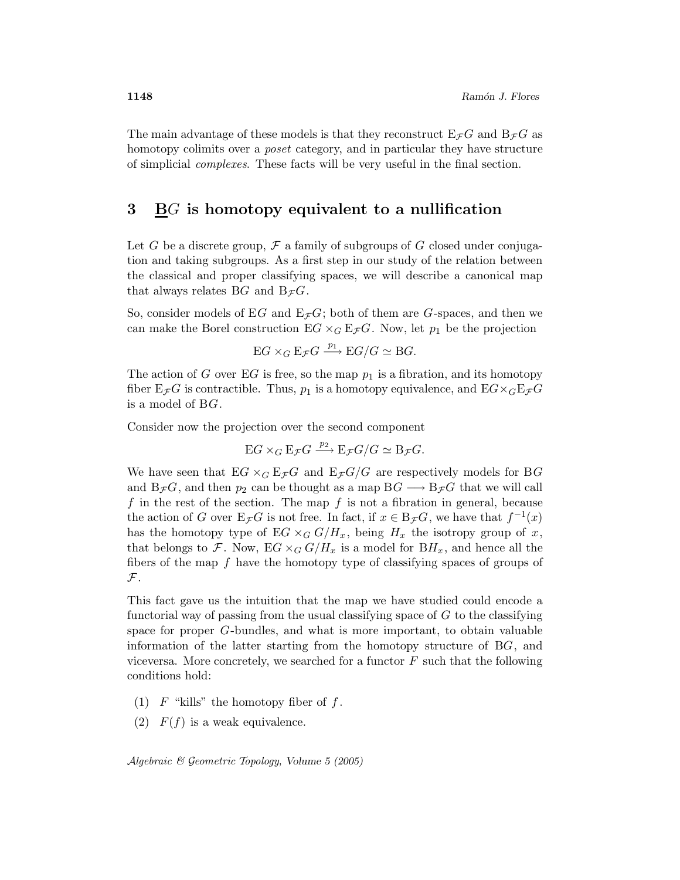The main advantage of these models is that they reconstruct  $E_{\mathcal{F}}G$  and  $B_{\mathcal{F}}G$  as homotopy colimits over a *poset* category, and in particular they have structure of simplicial complexes. These facts will be very useful in the final section.

### 3 BG is homotopy equivalent to a nullification

Let G be a discrete group,  $\mathcal F$  a family of subgroups of G closed under conjugation and taking subgroups. As a first step in our study of the relation between the classical and proper classifying spaces, we will describe a canonical map that always relates BG and  $B_{\mathcal{F}}G$ .

So, consider models of EG and  $E_{\mathcal{F}}G$ ; both of them are G-spaces, and then we can make the Borel construction  $EG \times_G E_{\mathcal{F}}G$ . Now, let  $p_1$  be the projection

$$
EG \times_G \mathbb{E}_{\mathcal{F}}G \xrightarrow{p_1} \mathbb{E}G/G \simeq \mathbb{B}G.
$$

The action of G over EG is free, so the map  $p_1$  is a fibration, and its homotopy fiber  $E_{\mathcal{F}}G$  is contractible. Thus,  $p_1$  is a homotopy equivalence, and  $E G \times_G E_{\mathcal{F}}G$ is a model of BG.

Consider now the projection over the second component

$$
EG \times_G \mathcal{E}_{\mathcal{F}}G \xrightarrow{p_2} \mathcal{E}_{\mathcal{F}}G/G \simeq \mathcal{B}_{\mathcal{F}}G.
$$

We have seen that  $EG \times_G E_{\mathcal{F}}G$  and  $E_{\mathcal{F}}G/G$  are respectively models for BG and  $B_{\mathcal{F}}G$ , and then  $p_2$  can be thought as a map  $BG \longrightarrow B_{\mathcal{F}}G$  that we will call f in the rest of the section. The map f is not a fibration in general, because the action of G over  $E_{\mathcal{F}}G$  is not free. In fact, if  $x \in B_{\mathcal{F}}G$ , we have that  $f^{-1}(x)$ has the homotopy type of EG  $\times_G G/H_x$ , being  $H_x$  the isotropy group of x, that belongs to F. Now,  $EG \times_G G/H_x$  is a model for  $BH_x$ , and hence all the fibers of the map  $f$  have the homotopy type of classifying spaces of groups of  ${\mathcal F}.$ 

This fact gave us the intuition that the map we have studied could encode a functorial way of passing from the usual classifying space of  $G$  to the classifying space for proper G-bundles, and what is more important, to obtain valuable information of the latter starting from the homotopy structure of BG, and viceversa. More concretely, we searched for a functor  $F$  such that the following conditions hold:

- (1)  $F$  "kills" the homotopy fiber of  $f$ .
- (2)  $F(f)$  is a weak equivalence.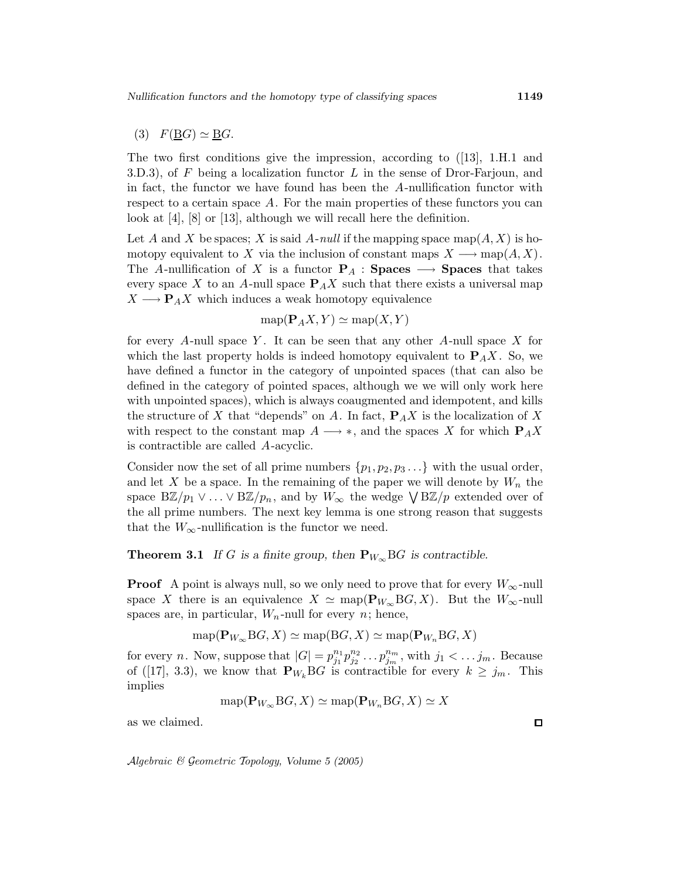### (3)  $F(\underline{B}G) \simeq \underline{B}G$ .

The two first conditions give the impression, according to ([13], 1.H.1 and 3.D.3), of F being a localization functor L in the sense of Dror-Farjoun, and in fact, the functor we have found has been the A-nullification functor with respect to a certain space A. For the main properties of these functors you can look at [4], [8] or [13], although we will recall here the definition.

Let A and X be spaces; X is said A-null if the mapping space map( $A, X$ ) is homotopy equivalent to X via the inclusion of constant maps  $X \longrightarrow \text{map}(A, X)$ . The A-nullification of X is a functor  $P_A$  : Spaces  $\longrightarrow$  Spaces that takes every space X to an A-null space  $P_A X$  such that there exists a universal map  $X \longrightarrow P_A X$  which induces a weak homotopy equivalence

$$
\text{map}(\mathbf{P}_A X, Y) \simeq \text{map}(X, Y)
$$

for every A-null space Y. It can be seen that any other A-null space X for which the last property holds is indeed homotopy equivalent to  $P_A X$ . So, we have defined a functor in the category of unpointed spaces (that can also be defined in the category of pointed spaces, although we we will only work here with unpointed spaces), which is always coaugmented and idempotent, and kills the structure of X that "depends" on A. In fact,  $P_A X$  is the localization of X with respect to the constant map  $A \longrightarrow *$ , and the spaces X for which  $P_A X$ is contractible are called A-acyclic.

Consider now the set of all prime numbers  $\{p_1, p_2, p_3 \ldots\}$  with the usual order, and let X be a space. In the remaining of the paper we will denote by  $W_n$  the space  $B\mathbb{Z}/p_1 \vee \ldots \vee B\mathbb{Z}/p_n$ , and by  $W_{\infty}$  the wedge  $\bigvee B\mathbb{Z}/p$  extended over of the all prime numbers. The next key lemma is one strong reason that suggests that the  $W_{\infty}$ -nullification is the functor we need.

#### **Theorem 3.1** If G is a finite group, then  $\mathbf{P}_{W_{\infty}} BG$  is contractible.

**Proof** A point is always null, so we only need to prove that for every  $W_{\infty}$ -null space X there is an equivalence  $X \simeq \text{map}(\mathbf{P}_{W_{\infty}}\text{B}G, X)$ . But the  $W_{\infty}$ -null spaces are, in particular,  $W_n$ -null for every n; hence,

$$
\text{map}(\mathbf{P}_{W_{\infty}}BG, X) \simeq \text{map}(BG, X) \simeq \text{map}(\mathbf{P}_{W_n}BG, X)
$$

for every *n*. Now, suppose that  $|G| = p_{j_1}^{n_1}$  $\frac{n_1}{j_1} p_{j_2}^{n_2}$  $j_2^{n_2} \ldots p_{j_m}^{n_m}$ , with  $j_1 < \ldots j_m$ . Because of ([17], 3.3), we know that  $\mathbf{P}_{W_k}$ BG is contractible for every  $k \geq j_m$ . This implies

$$
\text{map}(\mathbf{P}_{W_{\infty}}BG, X) \simeq \text{map}(\mathbf{P}_{W_n}BG, X) \simeq X
$$

as we claimed.

Algebraic & Geometric Topology, Volume 5 (2005)

 $\Box$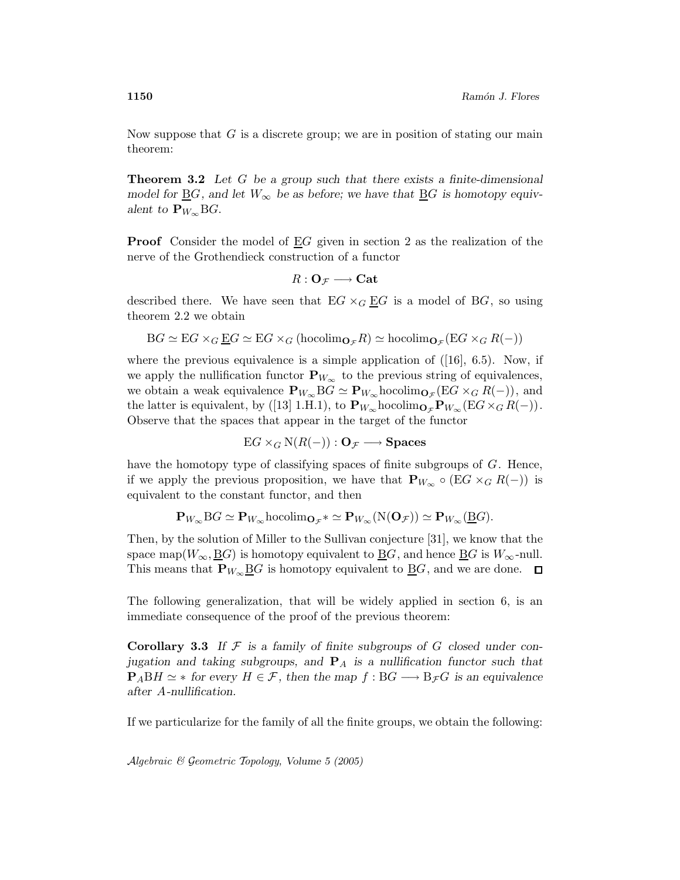Now suppose that  $G$  is a discrete group; we are in position of stating our main theorem:

**Theorem 3.2** Let G be a group such that there exists a finite-dimensional model for  $\underline{B}G$ , and let  $W_{\infty}$  be as before; we have that  $\underline{B}G$  is homotopy equivalent to  $\mathbf{P}_{W_{\infty}} BG$ .

**Proof** Consider the model of  $EG$  given in section 2 as the realization of the nerve of the Grothendieck construction of a functor

$$
R:\mathbf{O}_{\mathcal{F}}\longrightarrow\mathbf{Cat}
$$

described there. We have seen that  $EG \times_G \underline{EG}$  is a model of BG, so using theorem 2.2 we obtain

$$
BG \simeq EG \times_G \underline{E}G \simeq EG \times_G (\text{hocolim}_{\mathbf{O}_{\mathcal{F}}} R) \simeq \text{hocolim}_{\mathbf{O}_{\mathcal{F}}} (EG \times_G R(-))
$$

where the previous equivalence is a simple application of  $([16], 6.5)$ . Now, if we apply the nullification functor  $\mathbf{P}_{W_{\infty}}$  to the previous string of equivalences, we obtain a weak equivalence  ${\bf P}_{W_\infty}$ B $G \simeq {\bf P}_{W_\infty}$ hocolim ${\bf o}_{\mathcal{F}}(EG \times_G R(-))$ , and the latter is equivalent, by ([13] 1.H.1), to  ${\bf P}_{W_{\infty}}$ hocolim ${\bf O}_{\mathcal{F}}{\bf P}_{W_{\infty}}(EG \times_G R(-))$ . Observe that the spaces that appear in the target of the functor

$$
EG \times_G N(R(-)) : \mathbf{O}_{\mathcal{F}} \longrightarrow \mathbf{Spaces}
$$

have the homotopy type of classifying spaces of finite subgroups of G. Hence, if we apply the previous proposition, we have that  ${\bf P}_{W_{\infty}} \circ (EG \times_G R(-))$  is equivalent to the constant functor, and then

$$
\mathbf{P}_{W_{\infty}}\mathrm{B}G\simeq \mathbf{P}_{W_{\infty}}\mathrm{hocolim}_{\mathbf{O}_{\mathcal{F}}}*\simeq \mathbf{P}_{W_{\infty}}(\mathrm{N}(\mathbf{O}_{\mathcal{F}}))\simeq \mathbf{P}_{W_{\infty}}(\underline{\mathrm{B}}G).
$$

Then, by the solution of Miller to the Sullivan conjecture [31], we know that the space map( $W_{\infty}$ ,  $\underline{B}G$ ) is homotopy equivalent to  $\underline{B}G$ , and hence  $\underline{B}G$  is  $W_{\infty}$ -null. This means that  $\mathbf{P}_{W_{\infty}}\underline{B}G$  is homotopy equivalent to  $\underline{B}G$ , and we are done.  $\square$ 

The following generalization, that will be widely applied in section 6, is an immediate consequence of the proof of the previous theorem:

**Corollary 3.3** If  $F$  is a family of finite subgroups of  $G$  closed under conjugation and taking subgroups, and  $P_A$  is a nullification functor such that  $P_A BH \simeq *$  for every  $H \in \mathcal{F}$ , then the map  $f : BG \longrightarrow B_{\mathcal{F}}G$  is an equivalence after A-nullification.

If we particularize for the family of all the finite groups, we obtain the following: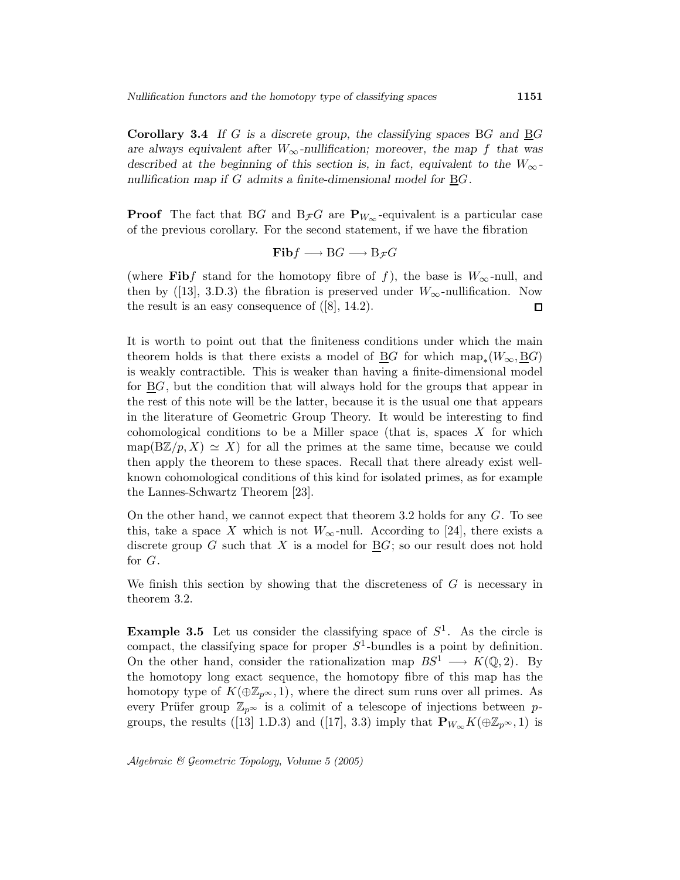**Corollary 3.4** If G is a discrete group, the classifying spaces BG and  $\underline{B}G$ are always equivalent after  $W_{\infty}$ -nullification; moreover, the map f that was described at the beginning of this section is, in fact, equivalent to the  $W_{\infty}$ nullification map if  $G$  admits a finite-dimensional model for  $\underline{B}G$ .

**Proof** The fact that BG and  $B_{\mathcal{F}}G$  are  $\mathbf{P}_{W_{\infty}}$ -equivalent is a particular case of the previous corollary. For the second statement, if we have the fibration

$$
\mathbf{Fib}f \longrightarrow BG \longrightarrow B_{\mathcal{F}}G
$$

(where Fibf stand for the homotopy fibre of f), the base is  $W_{\infty}$ -null, and then by ([13], 3.D.3) the fibration is preserved under  $W_{\infty}$ -nullification. Now the result is an easy consequence of ([8], 14.2).  $\Box$ 

It is worth to point out that the finiteness conditions under which the main theorem holds is that there exists a model of  $\underline{B}G$  for which  $map_*(W_\infty, \underline{B}G)$ is weakly contractible. This is weaker than having a finite-dimensional model for BG, but the condition that will always hold for the groups that appear in the rest of this note will be the latter, because it is the usual one that appears in the literature of Geometric Group Theory. It would be interesting to find cohomological conditions to be a Miller space (that is, spaces  $X$  for which map( $B\mathbb{Z}/p$ ,  $X$ )  $\cong X$ ) for all the primes at the same time, because we could then apply the theorem to these spaces. Recall that there already exist wellknown cohomological conditions of this kind for isolated primes, as for example the Lannes-Schwartz Theorem [23].

On the other hand, we cannot expect that theorem 3.2 holds for any G. To see this, take a space X which is not  $W_{\infty}$ -null. According to [24], there exists a discrete group  $G$  such that  $X$  is a model for  $BG$ ; so our result does not hold for G.

We finish this section by showing that the discreteness of  $G$  is necessary in theorem 3.2.

**Example 3.5** Let us consider the classifying space of  $S^1$ . As the circle is compact, the classifying space for proper  $S<sup>1</sup>$ -bundles is a point by definition. On the other hand, consider the rationalization map  $BS^1 \longrightarrow K(\mathbb{Q}, 2)$ . By the homotopy long exact sequence, the homotopy fibre of this map has the homotopy type of  $K(\oplus \mathbb{Z}_{p^{\infty}},1)$ , where the direct sum runs over all primes. As every Prüfer group  $\mathbb{Z}_{p^{\infty}}$  is a colimit of a telescope of injections between pgroups, the results ([13] 1.D.3) and ([17], 3.3) imply that  ${\bf P}_{W_{\infty}}K(\oplus\mathbb{Z}_{p^{\infty}},1)$  is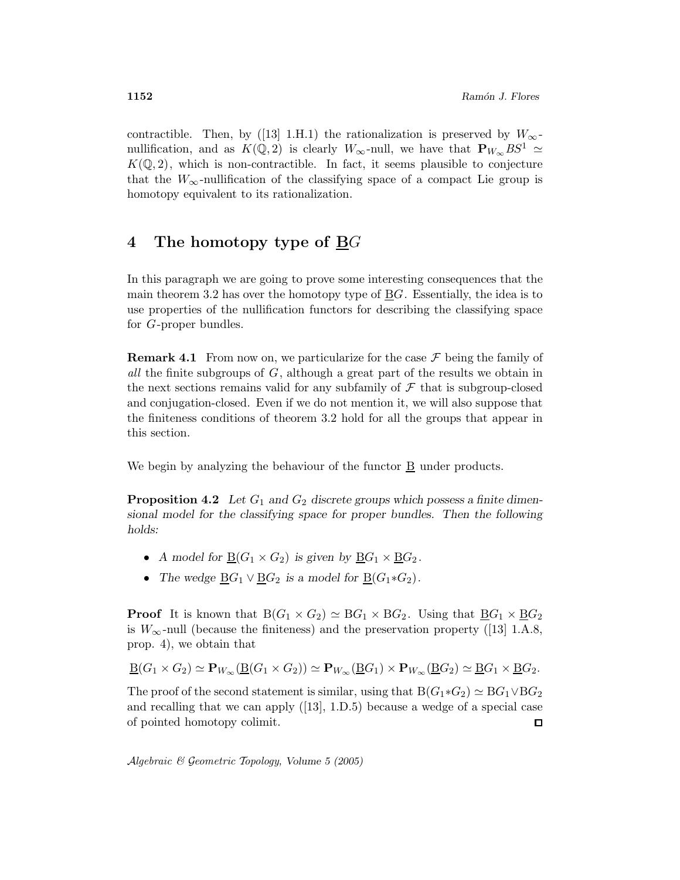contractible. Then, by ([13] 1.H.1) the rationalization is preserved by  $W_{\infty}$ nullification, and as  $K(\mathbb{Q}, 2)$  is clearly  $W_{\infty}$ -null, we have that  $\mathbf{P}_{W_{\infty}}BS^1 \simeq$  $K(\mathbb{Q}, 2)$ , which is non-contractible. In fact, it seems plausible to conjecture that the  $W_{\infty}$ -nullification of the classifying space of a compact Lie group is homotopy equivalent to its rationalization.

### 4 The homotopy type of  $\underline{B}G$

In this paragraph we are going to prove some interesting consequences that the main theorem 3.2 has over the homotopy type of  $BG$ . Essentially, the idea is to use properties of the nullification functors for describing the classifying space for G-proper bundles.

**Remark 4.1** From now on, we particularize for the case  $\mathcal F$  being the family of all the finite subgroups of  $G$ , although a great part of the results we obtain in the next sections remains valid for any subfamily of  $\mathcal F$  that is subgroup-closed and conjugation-closed. Even if we do not mention it, we will also suppose that the finiteness conditions of theorem 3.2 hold for all the groups that appear in this section.

We begin by analyzing the behaviour of the functor B under products.

**Proposition 4.2** Let  $G_1$  and  $G_2$  discrete groups which possess a finite dimensional model for the classifying space for proper bundles. Then the following holds:

- A model for  $B(G_1 \times G_2)$  is given by  $BG_1 \times BG_2$ .
- The wedge  $\underline{B}G_1 \vee \underline{B}G_2$  is a model for  $\underline{B}(G_1 * G_2)$ .

**Proof** It is known that  $B(G_1 \times G_2) \simeq BG_1 \times BG_2$ . Using that  $\underline{BG}_1 \times \underline{BG}_2$ is  $W_{\infty}$ -null (because the finiteness) and the preservation property ([13] 1.A.8, prop. 4), we obtain that

$$
\underline{\mathrm{B}}(G_1 \times G_2) \simeq \mathbf{P}_{W_{\infty}}(\underline{\mathrm{B}}(G_1 \times G_2)) \simeq \mathbf{P}_{W_{\infty}}(\underline{\mathrm{B}}G_1) \times \mathbf{P}_{W_{\infty}}(\underline{\mathrm{B}}G_2) \simeq \underline{\mathrm{B}}G_1 \times \underline{\mathrm{B}}G_2.
$$

The proof of the second statement is similar, using that  $B(G_1 * G_2) \simeq BG_1 \vee BG_2$ and recalling that we can apply ([13], 1.D.5) because a wedge of a special case of pointed homotopy colimit. □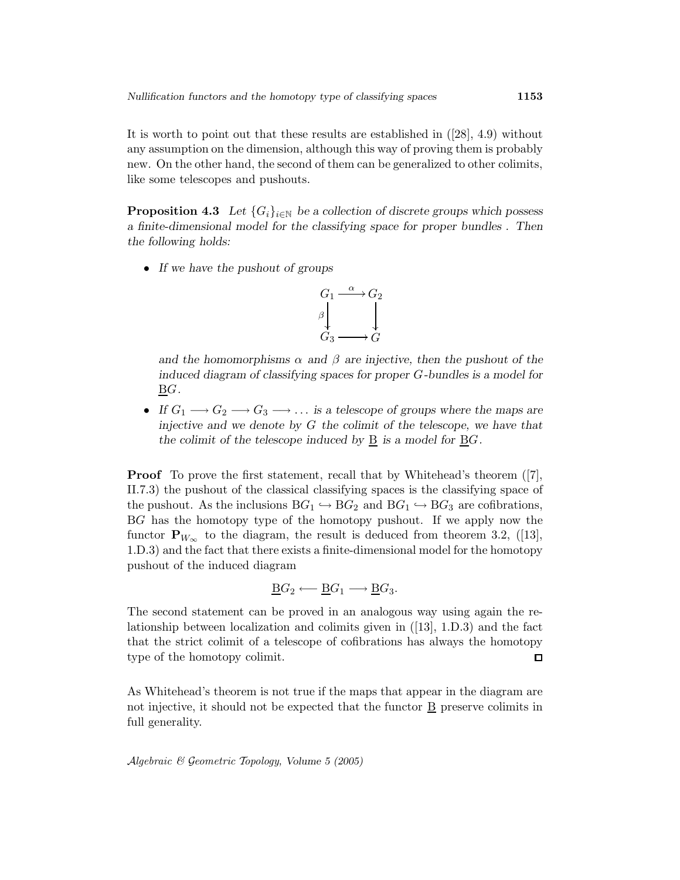It is worth to point out that these results are established in ([28], 4.9) without any assumption on the dimension, although this way of proving them is probably new. On the other hand, the second of them can be generalized to other colimits, like some telescopes and pushouts.

**Proposition 4.3** Let  $\{G_i\}_{i\in\mathbb{N}}$  be a collection of discrete groups which possess a finite-dimensional model for the classifying space for proper bundles . Then the following holds:

• If we have the pushout of groups



and the homomorphisms  $\alpha$  and  $\beta$  are injective, then the pushout of the induced diagram of classifying spaces for proper G-bundles is a model for BG.

• If  $G_1 \longrightarrow G_2 \longrightarrow G_3 \longrightarrow \dots$  is a telescope of groups where the maps are injective and we denote by  $G$  the colimit of the telescope, we have that the colimit of the telescope induced by  $\underline{B}$  is a model for  $\underline{B}G$ .

Proof To prove the first statement, recall that by Whitehead's theorem ([7], II.7.3) the pushout of the classical classifying spaces is the classifying space of the pushout. As the inclusions  $BG_1 \hookrightarrow BG_2$  and  $BG_1 \hookrightarrow BG_3$  are cofibrations, BG has the homotopy type of the homotopy pushout. If we apply now the functor  $\mathbf{P}_{W_{\infty}}$  to the diagram, the result is deduced from theorem 3.2, ([13], 1.D.3) and the fact that there exists a finite-dimensional model for the homotopy pushout of the induced diagram

$$
\underline{\mathrm{B}}G_2 \longleftarrow \underline{\mathrm{B}}G_1 \longrightarrow \underline{\mathrm{B}}G_3.
$$

The second statement can be proved in an analogous way using again the relationship between localization and colimits given in ([13], 1.D.3) and the fact that the strict colimit of a telescope of cofibrations has always the homotopy type of the homotopy colimit.  $\Box$ 

As Whitehead's theorem is not true if the maps that appear in the diagram are not injective, it should not be expected that the functor  $\underline{B}$  preserve colimits in full generality.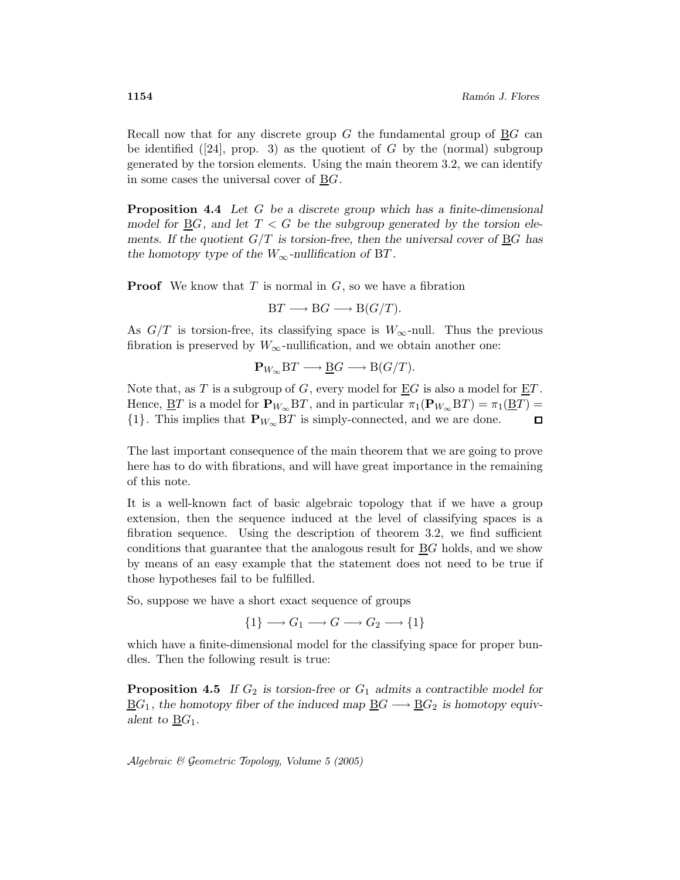Recall now that for any discrete group  $G$  the fundamental group of  $\underline{B}G$  can be identified  $(24)$ , prop. 3) as the quotient of G by the (normal) subgroup generated by the torsion elements. Using the main theorem 3.2, we can identify in some cases the universal cover of  $\underline{B}G$ .

**Proposition 4.4** Let G be a discrete group which has a finite-dimensional model for  $\underline{B}G$ , and let  $T < G$  be the subgroup generated by the torsion elements. If the quotient  $G/T$  is torsion-free, then the universal cover of BG has the homotopy type of the  $W_{\infty}$ -nullification of BT.

**Proof** We know that  $T$  is normal in  $G$ , so we have a fibration

$$
BT \longrightarrow BG \longrightarrow B(G/T).
$$

As  $G/T$  is torsion-free, its classifying space is  $W_{\infty}$ -null. Thus the previous fibration is preserved by  $W_{\infty}$ -nullification, and we obtain another one:

$$
\mathbf{P}_{W_{\infty}}\mathbf{B}T \longrightarrow \underline{\mathbf{B}}G \longrightarrow \mathbf{B}(G/T).
$$

Note that, as T is a subgroup of G, every model for  $\underline{E}G$  is also a model for  $\underline{E}T$ . Hence,  $\underline{BT}$  is a model for  $\mathbf{P}_{W_{\infty}}BT$ , and in particular  $\pi_1(\mathbf{P}_{W_{\infty}}BT) = \pi_1(\underline{BT})$  $\{1\}$ . This implies that  $\mathbf{P}_{W_{\infty}}\mathbf{B}T$  is simply-connected, and we are done.  $\Box$ 

The last important consequence of the main theorem that we are going to prove here has to do with fibrations, and will have great importance in the remaining of this note.

It is a well-known fact of basic algebraic topology that if we have a group extension, then the sequence induced at the level of classifying spaces is a fibration sequence. Using the description of theorem 3.2, we find sufficient conditions that guarantee that the analogous result for  $\underline{B}G$  holds, and we show by means of an easy example that the statement does not need to be true if those hypotheses fail to be fulfilled.

So, suppose we have a short exact sequence of groups

$$
\{1\} \longrightarrow G_1 \longrightarrow G \longrightarrow G_2 \longrightarrow \{1\}
$$

which have a finite-dimensional model for the classifying space for proper bundles. Then the following result is true:

**Proposition 4.5** If  $G_2$  is torsion-free or  $G_1$  admits a contractible model for  $\underline{B}G_1$ , the homotopy fiber of the induced map  $\underline{B}G \longrightarrow \underline{B}G_2$  is homotopy equivalent to  $\underline{B}G_1$ .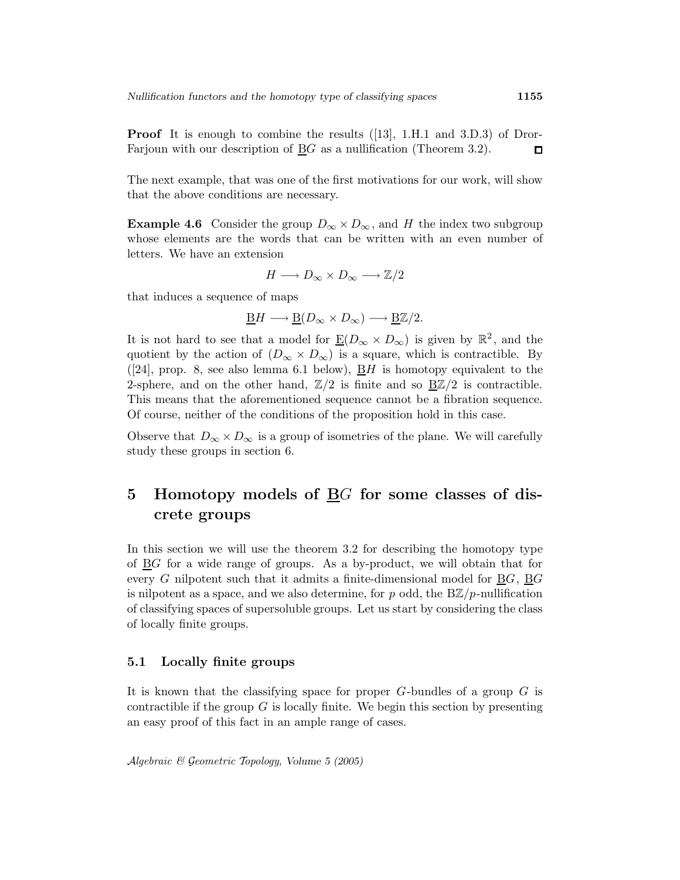**Proof** It is enough to combine the results ([13], 1.H.1 and 3.D.3) of Dror-Farjoun with our description of BG as a nullification (Theorem 3.2).  $\Box$ 

The next example, that was one of the first motivations for our work, will show that the above conditions are necessary.

**Example 4.6** Consider the group  $D_{\infty} \times D_{\infty}$ , and H the index two subgroup whose elements are the words that can be written with an even number of letters. We have an extension

$$
H \longrightarrow D_{\infty} \times D_{\infty} \longrightarrow \mathbb{Z}/2
$$

that induces a sequence of maps

$$
\underline{\mathbf{B}}H \longrightarrow \underline{\mathbf{B}}(D_{\infty} \times D_{\infty}) \longrightarrow \underline{\mathbf{B}}\mathbb{Z}/2.
$$

It is not hard to see that a model for  $\underline{E}(D_{\infty} \times D_{\infty})$  is given by  $\mathbb{R}^2$ , and the quotient by the action of  $(D_{\infty} \times D_{\infty})$  is a square, which is contractible. By ([24], prop. 8, see also lemma 6.1 below),  $\underline{B}H$  is homotopy equivalent to the 2-sphere, and on the other hand,  $\mathbb{Z}/2$  is finite and so  $\underline{B}\mathbb{Z}/2$  is contractible. This means that the aforementioned sequence cannot be a fibration sequence. Of course, neither of the conditions of the proposition hold in this case.

Observe that  $D_{\infty} \times D_{\infty}$  is a group of isometries of the plane. We will carefully study these groups in section 6.

# 5 Homotopy models of BG for some classes of discrete groups

In this section we will use the theorem 3.2 for describing the homotopy type of BG for a wide range of groups. As a by-product, we will obtain that for every  $G$  nilpotent such that it admits a finite-dimensional model for  $BG$ ,  $BG$ is nilpotent as a space, and we also determine, for p odd, the  $B\mathbb{Z}/p$ -nullification of classifying spaces of supersoluble groups. Let us start by considering the class of locally finite groups.

#### 5.1 Locally finite groups

It is known that the classifying space for proper  $G$ -bundles of a group  $G$  is contractible if the group  $G$  is locally finite. We begin this section by presenting an easy proof of this fact in an ample range of cases.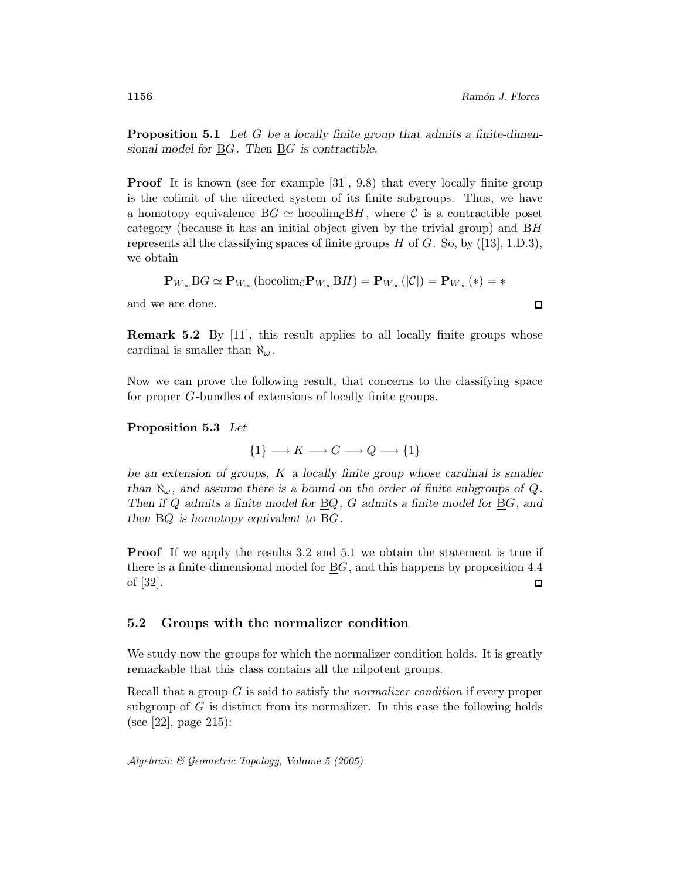**Proposition 5.1** Let G be a locally finite group that admits a finite-dimensional model for  $\underline{B}G$ . Then  $\underline{B}G$  is contractible.

**Proof** It is known (see for example [31], 9.8) that every locally finite group is the colimit of the directed system of its finite subgroups. Thus, we have a homotopy equivalence  $BG \simeq \text{hocolim}_{\mathcal{C}} BH$ , where C is a contractible poset category (because it has an initial object given by the trivial group) and BH represents all the classifying spaces of finite groups  $H$  of  $G$ . So, by ([13], 1.D.3), we obtain

$$
\mathbf{P}_{W_{\infty}}\mathrm{B}G\simeq \mathbf{P}_{W_{\infty}}(\mathrm{hocolim}_{\mathcal{C}}\mathbf{P}_{W_{\infty}}\mathrm{B}H)=\mathbf{P}_{W_{\infty}}(|\mathcal{C}|)=\mathbf{P}_{W_{\infty}}(*)=*
$$

and we are done.

**Remark 5.2** By [11], this result applies to all locally finite groups whose cardinal is smaller than  $\aleph_\omega$ .

Now we can prove the following result, that concerns to the classifying space for proper G-bundles of extensions of locally finite groups.

#### Proposition 5.3 Let

 $\{1\} \longrightarrow K \longrightarrow G \longrightarrow Q \longrightarrow \{1\}$ 

be an extension of groups, K a locally finite group whose cardinal is smaller than  $\aleph_{\omega}$ , and assume there is a bound on the order of finite subgroups of Q. Then if Q admits a finite model for  $\underline{B}Q$ , G admits a finite model for  $\underline{B}G$ , and then  $\underline{B}Q$  is homotopy equivalent to  $\underline{B}G$ .

**Proof** If we apply the results 3.2 and 5.1 we obtain the statement is true if there is a finite-dimensional model for  $\underline{B}G$ , and this happens by proposition 4.4 of [32].  $\Box$ 

#### 5.2 Groups with the normalizer condition

We study now the groups for which the normalizer condition holds. It is greatly remarkable that this class contains all the nilpotent groups.

Recall that a group G is said to satisfy the normalizer condition if every proper subgroup of  $G$  is distinct from its normalizer. In this case the following holds (see [22], page 215):

$$
\Box
$$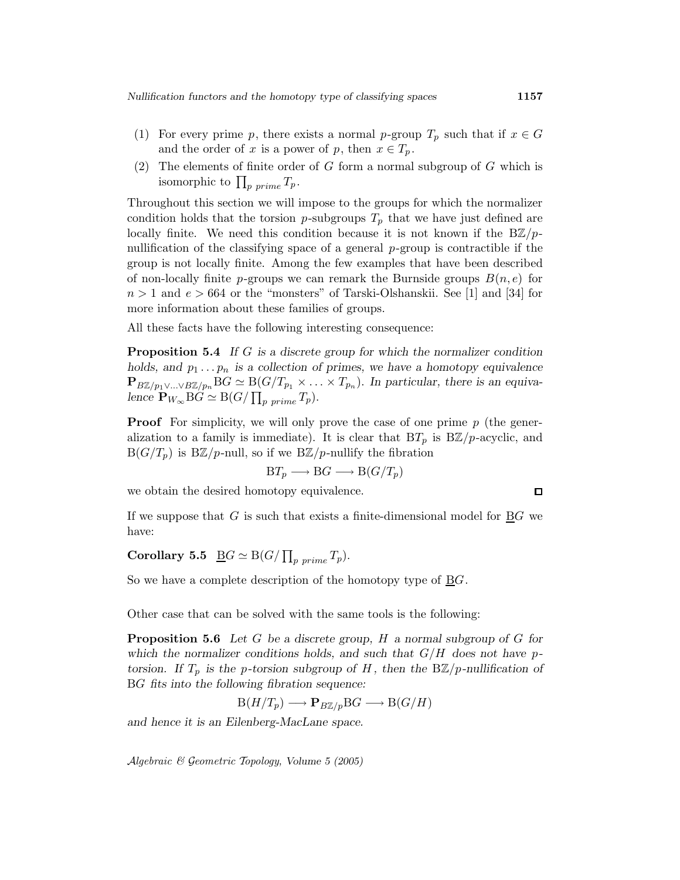- (1) For every prime p, there exists a normal p-group  $T_p$  such that if  $x \in G$ and the order of x is a power of p, then  $x \in T_p$ .
- (2) The elements of finite order of G form a normal subgroup of G which is isomorphic to  $\prod_{p \ prime} T_p$ .

Throughout this section we will impose to the groups for which the normalizer condition holds that the torsion p-subgroups  $T_p$  that we have just defined are locally finite. We need this condition because it is not known if the  $B\mathbb{Z}/p$ nullification of the classifying space of a general p-group is contractible if the group is not locally finite. Among the few examples that have been described of non-locally finite p-groups we can remark the Burnside groups  $B(n,e)$  for  $n > 1$  and  $e > 664$  or the "monsters" of Tarski-Olshanskii. See [1] and [34] for more information about these families of groups.

All these facts have the following interesting consequence:

**Proposition 5.4** If G is a discrete group for which the normalizer condition holds, and  $p_1 \ldots p_n$  is a collection of primes, we have a homotopy equivalence  $\mathbf{P}_{B\mathbb{Z}/p_1\vee...\vee B\mathbb{Z}/p_n}BG \simeq B(G/T_{p_1}\times...\times T_{p_n})$ . In particular, there is an equivalence  $\mathbf{P}_{W_{\infty}}\text{B}G \simeq \text{B}(G/\prod_{p \ prime} T_p).$ 

**Proof** For simplicity, we will only prove the case of one prime  $p$  (the generalization to a family is immediate). It is clear that  $BT_p$  is  $B\mathbb{Z}/p$ -acyclic, and  $B(G/T_p)$  is  $B\mathbb{Z}/p$ -null, so if we  $B\mathbb{Z}/p$ -nullify the fibration

$$
BT_p \longrightarrow BG \longrightarrow B(G/T_p)
$$

we obtain the desired homotopy equivalence.

If we suppose that  $G$  is such that exists a finite-dimensional model for  $BG$  we have:

Corollary 5.5  $\underline{\mathrm{B}}G \simeq \mathrm{B}(G/\prod_{p\ prime} T_p).$ 

So we have a complete description of the homotopy type of  $\underline{B}G$ .

Other case that can be solved with the same tools is the following:

**Proposition 5.6** Let G be a discrete group, H a normal subgroup of G for which the normalizer conditions holds, and such that  $G/H$  does not have ptorsion. If  $T_p$  is the p-torsion subgroup of H, then the  $B\mathbb{Z}/p$ -nullification of BG fits into the following fibration sequence:

$$
\mathcal{B}(H/T_p) \longrightarrow \mathbf{P}_{B\mathbb{Z}/p} \mathcal{B}G \longrightarrow \mathcal{B}(G/H)
$$

and hence it is an Eilenberg-MacLane space.

Algebraic & Geometric Topology, Volume 5 (2005)

 $\square$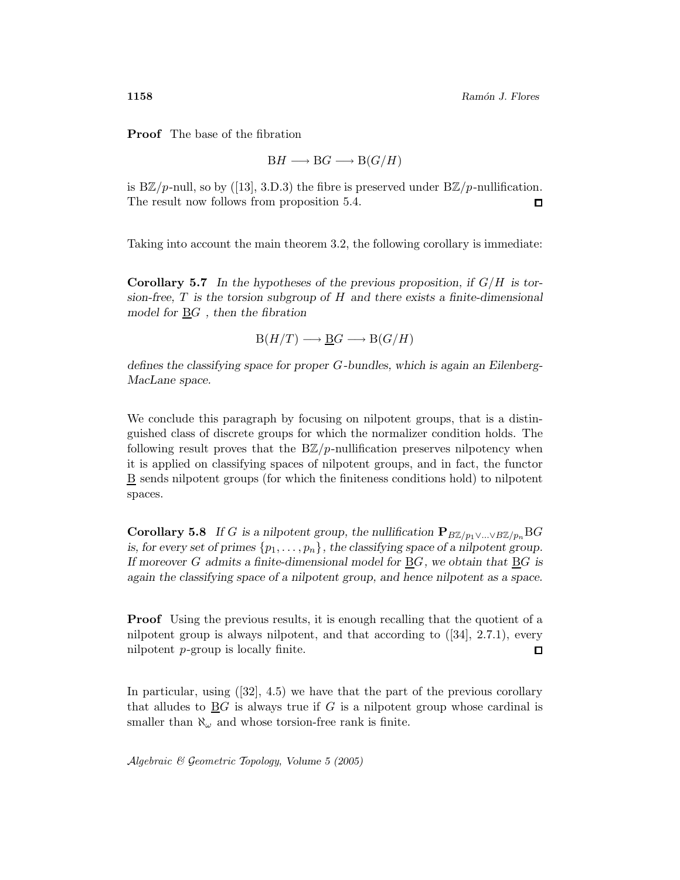Proof The base of the fibration

$$
BH \longrightarrow BG \longrightarrow B(G/H)
$$

is B $\mathbb{Z}/p$ -null, so by ([13], 3.D.3) the fibre is preserved under B $\mathbb{Z}/p$ -nullification. The result now follows from proposition 5.4.  $\Box$ 

Taking into account the main theorem 3.2, the following corollary is immediate:

**Corollary 5.7** In the hypotheses of the previous proposition, if  $G/H$  is torsion-free,  $T$  is the torsion subgroup of  $H$  and there exists a finite-dimensional model for BG , then the fibration

 $B(H/T) \longrightarrow BG \longrightarrow B(G/H)$ 

defines the classifying space for proper G-bundles, which is again an Eilenberg-MacLane space.

We conclude this paragraph by focusing on nilpotent groups, that is a distinguished class of discrete groups for which the normalizer condition holds. The following result proves that the  $B\mathbb{Z}/p$ -nullification preserves nilpotency when it is applied on classifying spaces of nilpotent groups, and in fact, the functor B sends nilpotent groups (for which the finiteness conditions hold) to nilpotent spaces.

**Corollary 5.8** If G is a nilpotent group, the nullification  $P_{B\mathbb{Z}/p_1 \vee ... \vee B\mathbb{Z}/p_n} BG$ is, for every set of primes  $\{p_1,\ldots,p_n\}$ , the classifying space of a nilpotent group. If moreover G admits a finite-dimensional model for BG, we obtain that BG is again the classifying space of a nilpotent group, and hence nilpotent as a space.

**Proof** Using the previous results, it is enough recalling that the quotient of a nilpotent group is always nilpotent, and that according to ([34], 2.7.1), every nilpotent p-group is locally finite.  $\Box$ 

In particular, using  $([32], 4.5)$  we have that the part of the previous corollary that alludes to  $\underline{B}G$  is always true if G is a nilpotent group whose cardinal is smaller than  $\aleph_{\omega}$  and whose torsion-free rank is finite.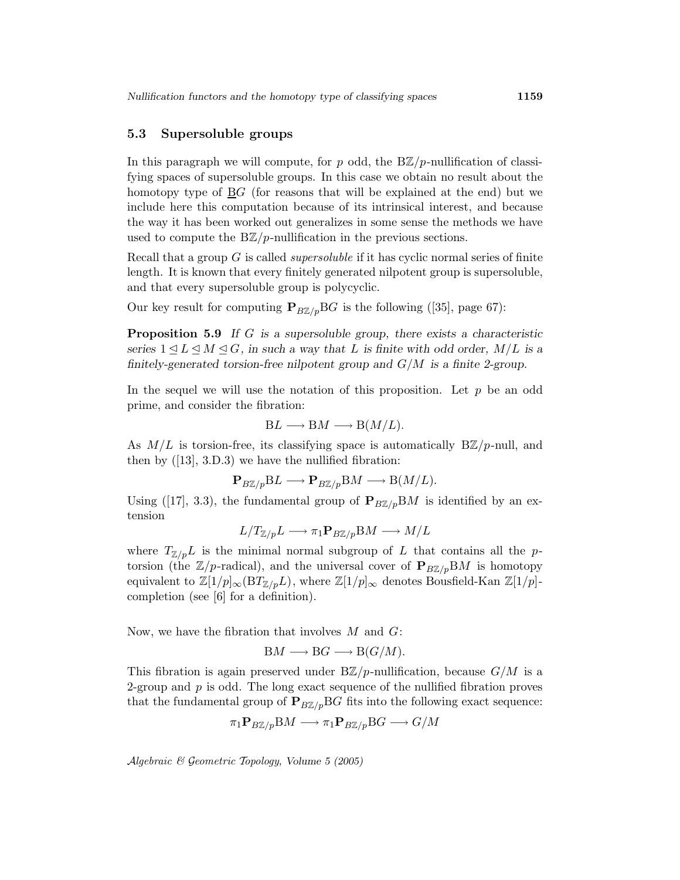#### 5.3 Supersoluble groups

In this paragraph we will compute, for p odd, the  $B\mathbb{Z}/p$ -nullification of classifying spaces of supersoluble groups. In this case we obtain no result about the homotopy type of BG (for reasons that will be explained at the end) but we include here this computation because of its intrinsical interest, and because the way it has been worked out generalizes in some sense the methods we have used to compute the  $B\mathbb{Z}/p$ -nullification in the previous sections.

Recall that a group G is called supersoluble if it has cyclic normal series of finite length. It is known that every finitely generated nilpotent group is supersoluble, and that every supersoluble group is polycyclic.

Our key result for computing  $P_{B\mathbb{Z}/p}BG$  is the following ([35], page 67):

**Proposition 5.9** If G is a supersoluble group, there exists a characteristic series  $1 \leq L \leq M \leq G$ , in such a way that L is finite with odd order,  $M/L$  is a finitely-generated torsion-free nilpotent group and  $G/M$  is a finite 2-group.

In the sequel we will use the notation of this proposition. Let  $p$  be an odd prime, and consider the fibration:

$$
BL \longrightarrow BM \longrightarrow B(M/L).
$$

As  $M/L$  is torsion-free, its classifying space is automatically  $B\mathbb{Z}/p$ -null, and then by  $(13, 3.0.3)$  we have the nullified fibration:

$$
\mathbf{P}_{B\mathbb{Z}/p} \mathbf{B} L \longrightarrow \mathbf{P}_{B\mathbb{Z}/p} \mathbf{B} M \longrightarrow \mathbf{B}(M/L).
$$

Using ([17], 3.3), the fundamental group of  $P_{B\mathbb{Z}/p}BM$  is identified by an extension

$$
L/T_{\Z/p}L\longrightarrow \pi_1\mathbf{P}_{B\Z/p}\mathrm{B} M\longrightarrow M/L
$$

where  $T_{\mathbb{Z}/p}L$  is the minimal normal subgroup of L that contains all the ptorsion (the  $\mathbb{Z}/p$ -radical), and the universal cover of  $\mathbf{P}_{B\mathbb{Z}/p}BM$  is homotopy equivalent to  $\mathbb{Z}[1/p]_{\infty}(BT_{\mathbb{Z}/p}L)$ , where  $\mathbb{Z}[1/p]_{\infty}$  denotes Bousfield-Kan  $\mathbb{Z}[1/p]$ completion (see [6] for a definition).

Now, we have the fibration that involves  $M$  and  $G$ :

$$
BM \longrightarrow BG \longrightarrow B(G/M).
$$

This fibration is again preserved under  $B\mathbb{Z}/p$ -nullification, because  $G/M$  is a 2-group and  $p$  is odd. The long exact sequence of the nullified fibration proves that the fundamental group of  $P_{B\mathbb{Z}/p}BG$  fits into the following exact sequence:

$$
\pi_1 \mathbf{P}_{B\mathbb{Z}/p} \mathbf{B} M \longrightarrow \pi_1 \mathbf{P}_{B\mathbb{Z}/p} \mathbf{B} G \longrightarrow G/M
$$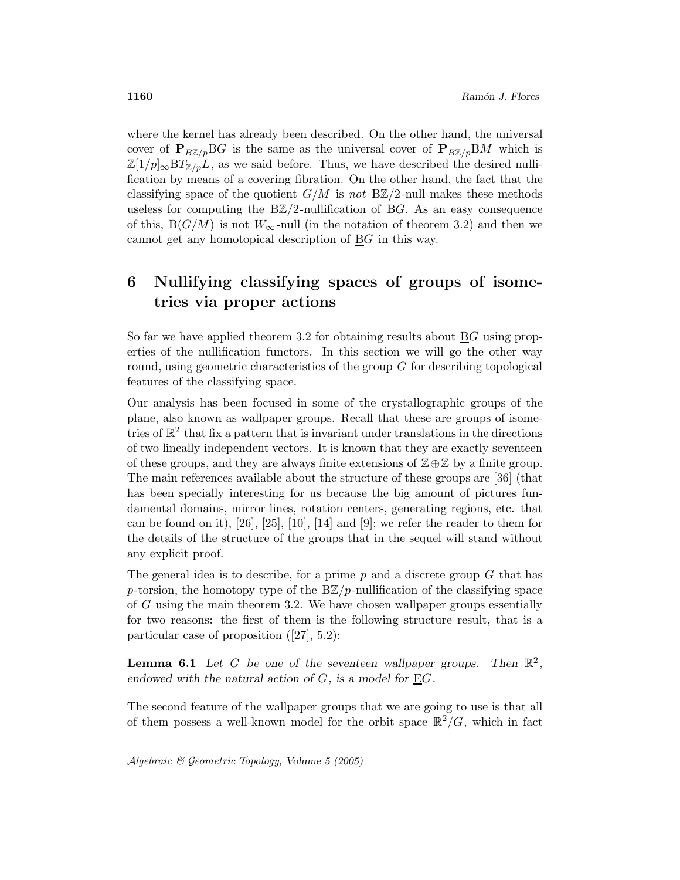where the kernel has already been described. On the other hand, the universal cover of  $P_{B\mathbb{Z}/p}BG$  is the same as the universal cover of  $P_{B\mathbb{Z}/p}BM$  which is  $\mathbb{Z}[1/p]_{\infty}BT_{\mathbb{Z}/p}L$ , as we said before. Thus, we have described the desired nullification by means of a covering fibration. On the other hand, the fact that the classifying space of the quotient  $G/M$  is not  $B\mathbb{Z}/2$ -null makes these methods useless for computing the  $B\mathbb{Z}/2$ -nullification of BG. As an easy consequence of this,  $B(G/M)$  is not  $W_{\infty}$ -null (in the notation of theorem 3.2) and then we cannot get any homotopical description of  $\underline{B}G$  in this way.

# 6 Nullifying classifying spaces of groups of isometries via proper actions

So far we have applied theorem 3.2 for obtaining results about BG using properties of the nullification functors. In this section we will go the other way round, using geometric characteristics of the group G for describing topological features of the classifying space.

Our analysis has been focused in some of the crystallographic groups of the plane, also known as wallpaper groups. Recall that these are groups of isometries of  $\mathbb{R}^2$  that fix a pattern that is invariant under translations in the directions of two lineally independent vectors. It is known that they are exactly seventeen of these groups, and they are always finite extensions of  $\mathbb{Z}\oplus\mathbb{Z}$  by a finite group. The main references available about the structure of these groups are [36] (that has been specially interesting for us because the big amount of pictures fundamental domains, mirror lines, rotation centers, generating regions, etc. that can be found on it),  $[26]$ ,  $[25]$ ,  $[10]$ ,  $[14]$  and  $[9]$ ; we refer the reader to them for the details of the structure of the groups that in the sequel will stand without any explicit proof.

The general idea is to describe, for a prime  $p$  and a discrete group  $G$  that has p-torsion, the homotopy type of the  $B\mathbb{Z}/p$ -nullification of the classifying space of G using the main theorem 3.2. We have chosen wallpaper groups essentially for two reasons: the first of them is the following structure result, that is a particular case of proposition ([27], 5.2):

**Lemma 6.1** Let G be one of the seventeen wallpaper groups. Then  $\mathbb{R}^2$ , endowed with the natural action of  $G$ , is a model for  $\underline{E}G$ .

The second feature of the wallpaper groups that we are going to use is that all of them possess a well-known model for the orbit space  $\mathbb{R}^2/G$ , which in fact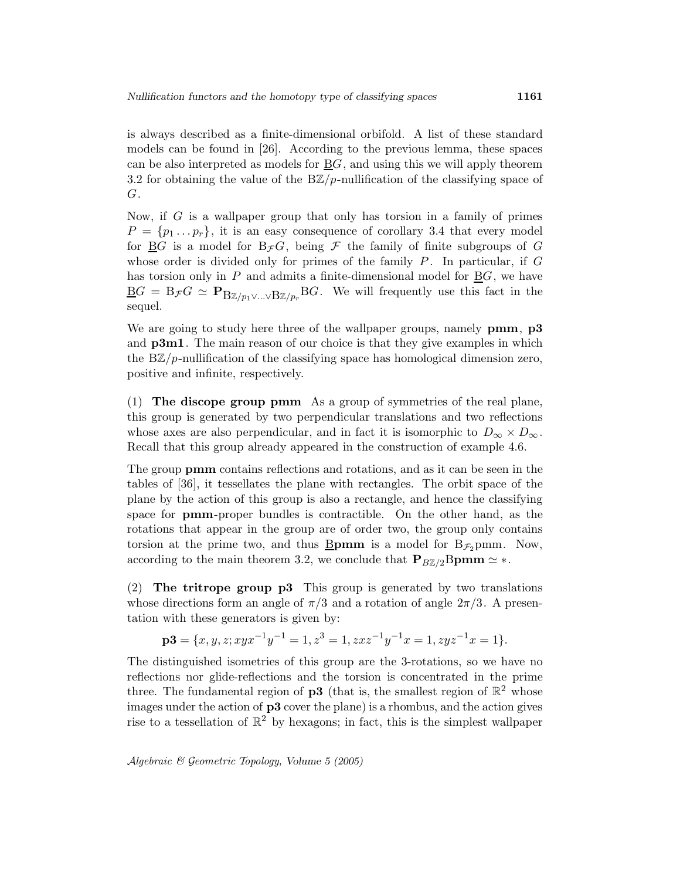is always described as a finite-dimensional orbifold. A list of these standard models can be found in [26]. According to the previous lemma, these spaces can be also interpreted as models for  $\underline{B}G$ , and using this we will apply theorem 3.2 for obtaining the value of the  $B\mathbb{Z}/p$ -nullification of the classifying space of G.

Now, if  $G$  is a wallpaper group that only has torsion in a family of primes  $P = \{p_1 \dots p_r\}$ , it is an easy consequence of corollary 3.4 that every model for  $\underline{B}G$  is a model for  $B_{\mathcal{F}}G$ , being  $\mathcal F$  the family of finite subgroups of  $G$ whose order is divided only for primes of the family  $P$ . In particular, if  $G$ has torsion only in  $P$  and admits a finite-dimensional model for  $\underline{B}G$ , we have  $\underline{\mathbf{B}}G = \mathbf{B}_{\mathcal{F}}G \simeq \mathbf{P}_{\mathbf{B}\mathbb{Z}/p_1 \vee ... \vee \mathbf{B}\mathbb{Z}/p_r} \mathbf{B}G.$  We will frequently use this fact in the sequel.

We are going to study here three of the wallpaper groups, namely **pmm**, **p3** and **p3m1**. The main reason of our choice is that they give examples in which the  $B\mathbb{Z}/p$ -nullification of the classifying space has homological dimension zero, positive and infinite, respectively.

(1) The discope group pmm As a group of symmetries of the real plane, this group is generated by two perpendicular translations and two reflections whose axes are also perpendicular, and in fact it is isomorphic to  $D_{\infty} \times D_{\infty}$ . Recall that this group already appeared in the construction of example 4.6.

The group pmm contains reflections and rotations, and as it can be seen in the tables of [36], it tessellates the plane with rectangles. The orbit space of the plane by the action of this group is also a rectangle, and hence the classifying space for pmm-proper bundles is contractible. On the other hand, as the rotations that appear in the group are of order two, the group only contains torsion at the prime two, and thus **Bpmm** is a model for  $B_{\mathcal{F}_2}$  pmm. Now, according to the main theorem 3.2, we conclude that  $P_{B\mathbb{Z}/2}B\text{pmm} \simeq *$ .

(2) The tritrope group p3 This group is generated by two translations whose directions form an angle of  $\pi/3$  and a rotation of angle  $2\pi/3$ . A presentation with these generators is given by:

$$
\mathbf{p3} = \{x, y, z; xyx^{-1}y^{-1} = 1, z^3 = 1, zxz^{-1}y^{-1}x = 1, zyz^{-1}x = 1\}.
$$

The distinguished isometries of this group are the 3-rotations, so we have no reflections nor glide-reflections and the torsion is concentrated in the prime three. The fundamental region of **p3** (that is, the smallest region of  $\mathbb{R}^2$  whose images under the action of p3 cover the plane) is a rhombus, and the action gives rise to a tessellation of  $\mathbb{R}^2$  by hexagons; in fact, this is the simplest wallpaper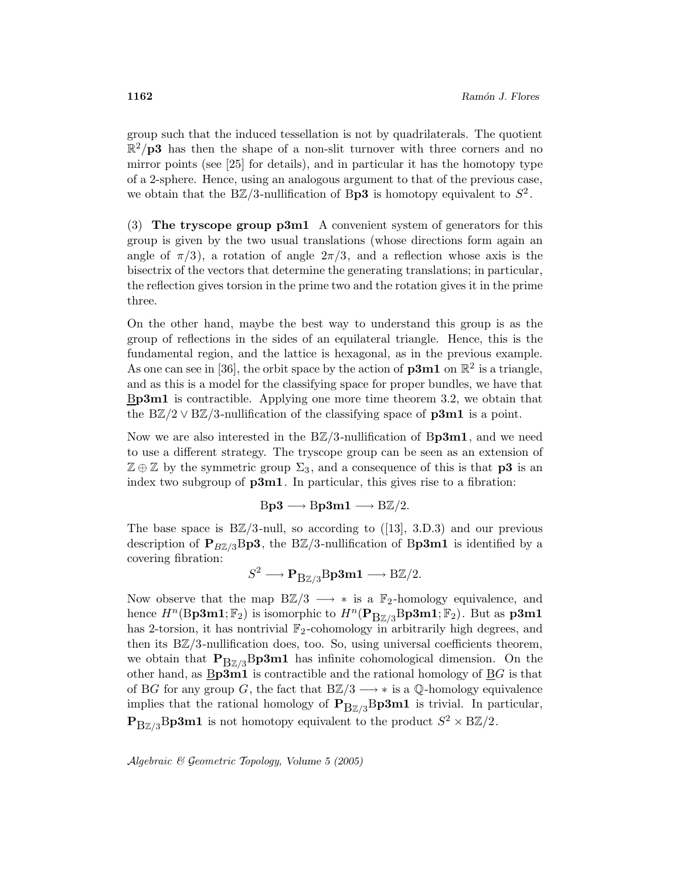group such that the induced tessellation is not by quadrilaterals. The quotient  $\mathbb{R}^2/\mathbf{p3}$  has then the shape of a non-slit turnover with three corners and no mirror points (see [25] for details), and in particular it has the homotopy type of a 2-sphere. Hence, using an analogous argument to that of the previous case, we obtain that the BZ/3-nullification of Bp3 is homotopy equivalent to  $S^2$ .

(3) The tryscope group p3m1 A convenient system of generators for this group is given by the two usual translations (whose directions form again an angle of  $\pi/3$ , a rotation of angle  $2\pi/3$ , and a reflection whose axis is the bisectrix of the vectors that determine the generating translations; in particular, the reflection gives torsion in the prime two and the rotation gives it in the prime three.

On the other hand, maybe the best way to understand this group is as the group of reflections in the sides of an equilateral triangle. Hence, this is the fundamental region, and the lattice is hexagonal, as in the previous example. As one can see in [36], the orbit space by the action of  $\mathbf{p3m1}$  on  $\mathbb{R}^2$  is a triangle, and as this is a model for the classifying space for proper bundles, we have that Bp3m1 is contractible. Applying one more time theorem 3.2, we obtain that the BZ/2  $\vee$  BZ/3-nullification of the classifying space of **p3m1** is a point.

Now we are also interested in the  $B\mathbb{Z}/3$ -nullification of Bp3m1, and we need to use a different strategy. The tryscope group can be seen as an extension of  $\mathbb{Z} \oplus \mathbb{Z}$  by the symmetric group  $\Sigma_3$ , and a consequence of this is that **p3** is an index two subgroup of  $p3m1$ . In particular, this gives rise to a fibration:

$$
Bp3 \longrightarrow Bp3m1 \longrightarrow B\mathbb{Z}/2.
$$

The base space is  $B\mathbb{Z}/3$ -null, so according to ([13], 3.D.3) and our previous description of  $P_{B\mathbb{Z}/3}$ Bp3, the BZ/3-nullification of Bp3m1 is identified by a covering fibration:

$$
S^2 \longrightarrow \mathbf{P}_{B\mathbb{Z}/3}B\mathbf{p3m1} \longrightarrow B\mathbb{Z}/2.
$$

Now observe that the map  $B\mathbb{Z}/3 \longrightarrow *$  is a  $\mathbb{F}_2$ -homology equivalence, and hence  $H^n(\text{Bp3m1}; \mathbb{F}_2)$  is isomorphic to  $H^n(\text{P}_{\text{B}\mathbb{Z}/3}\text{Bp3m1}; \mathbb{F}_2)$ . But as  $\textbf{p3m1}$ has 2-torsion, it has nontrivial  $\mathbb{F}_2$ -cohomology in arbitrarily high degrees, and then its BZ/3-nullification does, too. So, using universal coefficients theorem, we obtain that  $P_{BZ/3}Bp3m1$  has infinite cohomological dimension. On the other hand, as  $B<sub>p3</sub>m1$  is contractible and the rational homology of BG is that of BG for any group G, the fact that  $B\mathbb{Z}/3 \longrightarrow *$  is a Q-homology equivalence implies that the rational homology of  $\mathbf{P}_{B\mathbb{Z}/3}$ Bp3m1 is trivial. In particular,  $\mathbf{P}_{\text{B}\mathbb{Z}/3}\text{Bp3m1}$  is not homotopy equivalent to the product  $S^2 \times \text{B}\mathbb{Z}/2$ .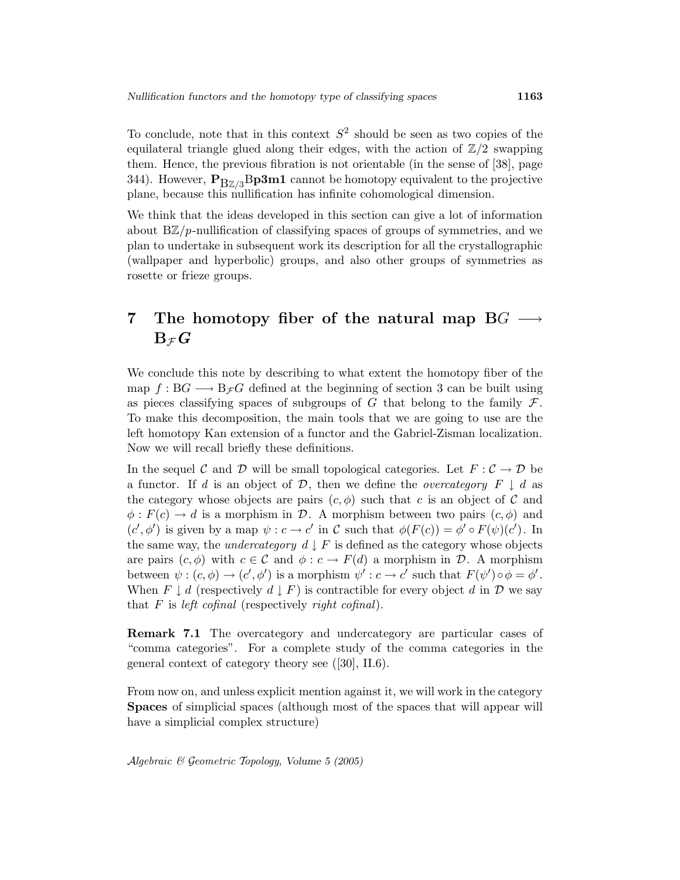To conclude, note that in this context  $S^2$  should be seen as two copies of the equilateral triangle glued along their edges, with the action of  $\mathbb{Z}/2$  swapping them. Hence, the previous fibration is not orientable (in the sense of [38], page 344). However,  $P_{BZ/3}Bp3m1$  cannot be homotopy equivalent to the projective plane, because this nullification has infinite cohomological dimension.

We think that the ideas developed in this section can give a lot of information about  $B\mathbb{Z}/p$ -nullification of classifying spaces of groups of symmetries, and we plan to undertake in subsequent work its description for all the crystallographic (wallpaper and hyperbolic) groups, and also other groups of symmetries as rosette or frieze groups.

## 7 The homotopy fiber of the natural map  $BG \rightarrow$  $\mathrm{B}_{\,\mathcal{F}}\,G$

We conclude this note by describing to what extent the homotopy fiber of the map  $f : BG \longrightarrow B_{\mathcal{F}}G$  defined at the beginning of section 3 can be built using as pieces classifying spaces of subgroups of G that belong to the family  $\mathcal{F}$ . To make this decomposition, the main tools that we are going to use are the left homotopy Kan extension of a functor and the Gabriel-Zisman localization. Now we will recall briefly these definitions.

In the sequel C and D will be small topological categories. Let  $F: \mathcal{C} \to \mathcal{D}$  be a functor. If d is an object of  $\mathcal{D}$ , then we define the *overcategory*  $F \downarrow d$  as the category whose objects are pairs  $(c, \phi)$  such that c is an object of C and  $\phi: F(c) \to d$  is a morphism in D. A morphism between two pairs  $(c, \phi)$  and  $(c', \phi')$  is given by a map  $\psi : c \to c'$  in C such that  $\phi(F(c)) = \phi' \circ F(\psi)(c')$ . In the same way, the *undercategory*  $d \downarrow F$  is defined as the category whose objects are pairs  $(c, \phi)$  with  $c \in \mathcal{C}$  and  $\phi : c \to F(d)$  a morphism in  $\mathcal{D}$ . A morphism between  $\psi : (c, \phi) \to (c', \phi')$  is a morphism  $\psi' : c \to c'$  such that  $F(\psi') \circ \phi = \phi'$ . When  $F \downarrow d$  (respectively  $d \downarrow F$ ) is contractible for every object d in  $\mathcal D$  we say that  $F$  is left cofinal (respectively right cofinal).

Remark 7.1 The overcategory and undercategory are particular cases of "comma categories". For a complete study of the comma categories in the general context of category theory see ([30], II.6).

From now on, and unless explicit mention against it, we will work in the category Spaces of simplicial spaces (although most of the spaces that will appear will have a simplicial complex structure)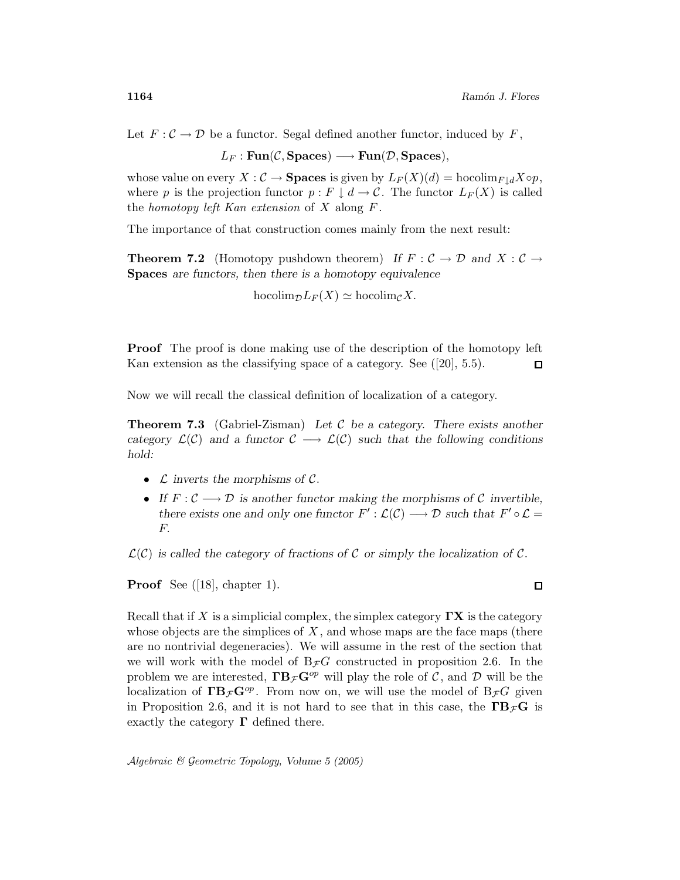Let  $F: \mathcal{C} \to \mathcal{D}$  be a functor. Segal defined another functor, induced by  $F$ ,

 $L_F : \text{Fun}(\mathcal{C}, \text{Spaces}) \longrightarrow \text{Fun}(\mathcal{D}, \text{Spaces}),$ 

whose value on every  $X : \mathcal{C} \to \mathbf{Spaces}$  is given by  $L_F(X)(d) = \text{hocolim}_{F \mid d} X \circ p$ , where p is the projection functor  $p : F \downarrow d \to \mathcal{C}$ . The functor  $L_F(X)$  is called the homotopy left Kan extension of  $X$  along  $F$ .

The importance of that construction comes mainly from the next result:

**Theorem 7.2** (Homotopy pushdown theorem) If  $F : C \to D$  and  $X : C \to$ Spaces are functors, then there is a homotopy equivalence

$$
\text{hocolim}_{\mathcal{D}} L_F(X) \simeq \text{hocolim}_{\mathcal{C}} X.
$$

**Proof** The proof is done making use of the description of the homotopy left Kan extension as the classifying space of a category. See ([20], 5.5).  $\Box$ 

Now we will recall the classical definition of localization of a category.

**Theorem 7.3** (Gabriel-Zisman) Let C be a category. There exists another category  $\mathcal{L}(\mathcal{C})$  and a functor  $\mathcal{C} \longrightarrow \mathcal{L}(\mathcal{C})$  such that the following conditions hold:

- $\mathcal L$  inverts the morphisms of  $\mathcal C$ .
- If  $F: \mathcal{C} \longrightarrow \mathcal{D}$  is another functor making the morphisms of C invertible, there exists one and only one functor  $F': \mathcal{L}(\mathcal{C}) \longrightarrow \mathcal{D}$  such that  $F' \circ \mathcal{L} =$ F.

 $\mathcal{L}(\mathcal{C})$  is called the category of fractions of C or simply the localization of C.

Proof See ([18], chapter 1).

Recall that if X is a simplicial complex, the simplex category  $\Gamma$ **X** is the category whose objects are the simplices of  $X$ , and whose maps are the face maps (there are no nontrivial degeneracies). We will assume in the rest of the section that we will work with the model of  $B_{\mathcal{F}}G$  constructed in proposition 2.6. In the problem we are interested,  $\mathbf{FB}_{\mathcal{F}}\mathbf{G}^{op}$  will play the role of C, and D will be the localization of  $\Gamma \mathbf{B}_{\mathcal{F}} \mathbf{G}^{op}$ . From now on, we will use the model of  $B_{\mathcal{F}}G$  given in Proposition 2.6, and it is not hard to see that in this case, the  $\Gamma B_{\mathcal{F}}G$  is exactly the category  $\Gamma$  defined there.

Algebraic & Geometric Topology, Volume 5 (2005)

 $\Box$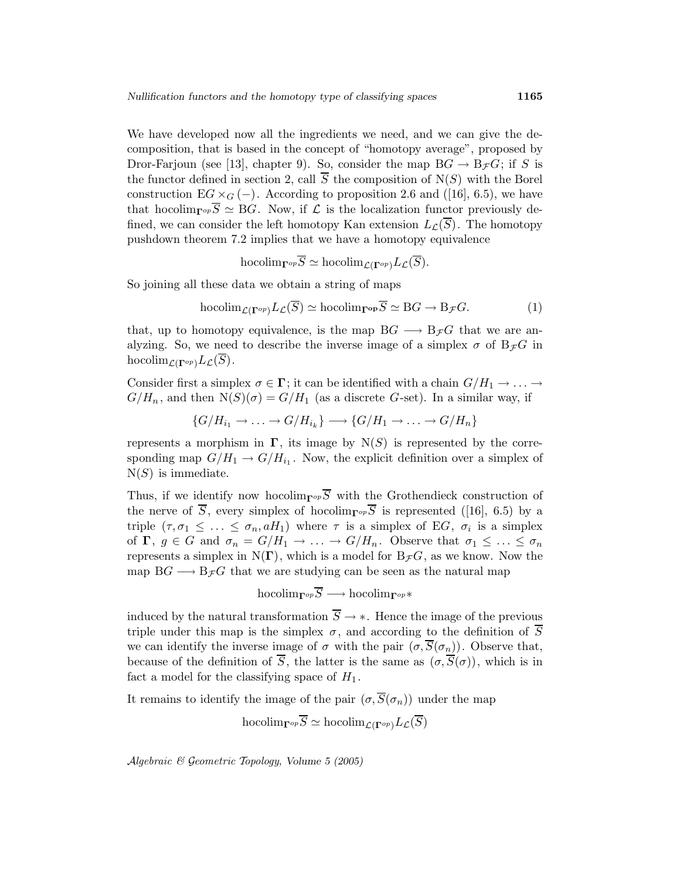We have developed now all the ingredients we need, and we can give the decomposition, that is based in the concept of "homotopy average", proposed by Dror-Farjoun (see [13], chapter 9). So, consider the map  $BG \to B_{\mathcal{F}}G$ ; if S is the functor defined in section 2, call  $\overline{S}$  the composition of N(S) with the Borel construction  $EG \times_G (-)$ . According to proposition 2.6 and ([16], 6.5), we have that hocolim<sub>Γ</sub> $_{\text{p,p}}\overline{S} \simeq BG$ . Now, if  $\mathcal L$  is the localization functor previously defined, we can consider the left homotopy Kan extension  $L_{\mathcal{L}}(\overline{S})$ . The homotopy pushdown theorem 7.2 implies that we have a homotopy equivalence

$$
\text{hocolim}_{\Gamma^{op}}\overline{S} \simeq \text{hocolim}_{\mathcal{L}(\Gamma^{op})}L_{\mathcal{L}}(\overline{S}).
$$

So joining all these data we obtain a string of maps

$$
\text{hocolim}_{\mathcal{L}(\Gamma^{op})} L_{\mathcal{L}}(\overline{S}) \simeq \text{hocolim}_{\Gamma^{op}} \overline{S} \simeq \text{B}G \to \text{B}_{\mathcal{F}}G. \tag{1}
$$

that, up to homotopy equivalence, is the map  $BG \longrightarrow B_{\mathcal{F}}G$  that we are analyzing. So, we need to describe the inverse image of a simplex  $\sigma$  of  $B_{\mathcal{F}}G$  in hocolim<sub> $\mathcal{L}(\Gamma^{op})L_{\mathcal{L}}(\overline{S})$ .</sub>

Consider first a simplex  $\sigma \in \Gamma$ ; it can be identified with a chain  $G/H_1 \to \ldots \to$  $G/H_n$ , and then  $N(S)(\sigma) = G/H_1$  (as a discrete G-set). In a similar way, if

$$
\{G/H_{i_1} \to \ldots \to G/H_{i_k}\} \longrightarrow \{G/H_1 \to \ldots \to G/H_n\}
$$

represents a morphism in  $\Gamma$ , its image by  $N(S)$  is represented by the corresponding map  $G/H_1 \to G/H_{i_1}$ . Now, the explicit definition over a simplex of  $N(S)$  is immediate.

Thus, if we identify now hocolim<sub>Γ</sub><sub>op</sub>  $\overline{S}$  with the Grothendieck construction of the nerve of  $\overline{S}$ , every simplex of hocolim<sub>Γ</sub><sup>op</sup>S is represented ([16], 6.5) by a triple  $(\tau, \sigma_1 \leq \ldots \leq \sigma_n, aH_1)$  where  $\tau$  is a simplex of EG,  $\sigma_i$  is a simplex of  $\Gamma$ ,  $g \in G$  and  $\sigma_n = G/H_1 \to \ldots \to G/H_n$ . Observe that  $\sigma_1 \leq \ldots \leq \sigma_n$ represents a simplex in  $N(\Gamma)$ , which is a model for  $B_{\mathcal{F}}G$ , as we know. Now the map  $BG \longrightarrow B_{\mathcal{F}}G$  that we are studying can be seen as the natural map

$$
\text{hocolim}_{\Gamma^{op}}\overline{S} \longrightarrow \text{hocolim}_{\Gamma^{op}}*
$$

induced by the natural transformation  $\overline{S} \rightarrow *$ . Hence the image of the previous triple under this map is the simplex  $\sigma$ , and according to the definition of  $\overline{S}$ we can identify the inverse image of  $\sigma$  with the pair  $(\sigma, \overline{S}(\sigma_n))$ . Observe that, because of the definition of  $\overline{S}$ , the latter is the same as  $(\sigma, \overline{S}(\sigma))$ , which is in fact a model for the classifying space of  $H_1$ .

It remains to identify the image of the pair  $(\sigma, \overline{S}(\sigma_n))$  under the map

$$
\text{hocolim}_{\Gamma^{op}} S \simeq \text{hocolim}_{\mathcal{L}(\Gamma^{op})} L_{\mathcal{L}}(S)
$$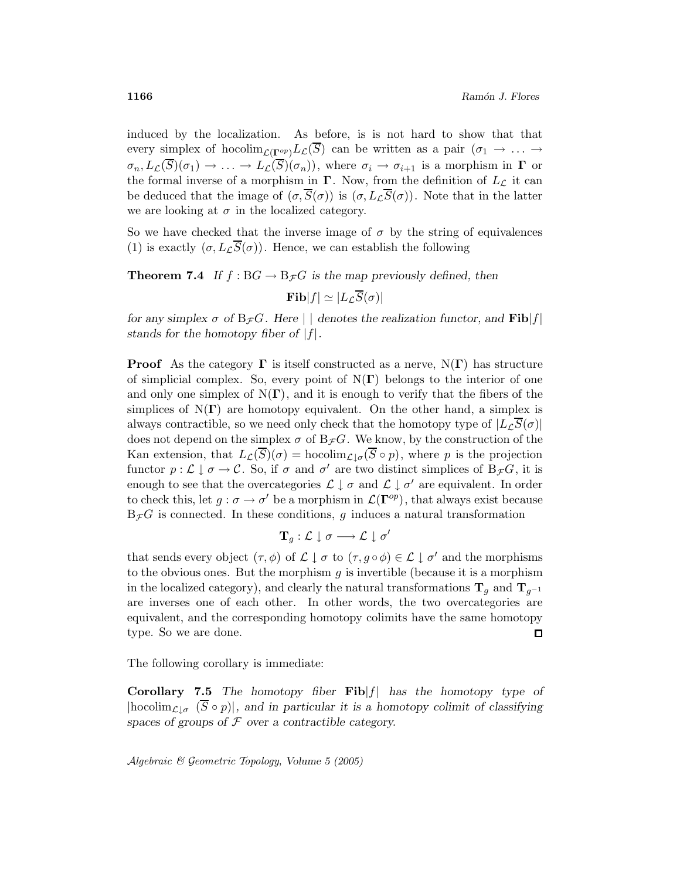induced by the localization. As before, is is not hard to show that that every simplex of hocolim<sub> $\mathcal{L}(\Gamma^{op})L_{\mathcal{L}}(\overline{S})$  can be written as a pair  $(\sigma_1 \to \ldots \to$ </sub>  $\sigma_n, L_{\mathcal{L}}(\overline{S})(\sigma_1) \to \ldots \to L_{\mathcal{L}}(\overline{S})(\sigma_n)),$  where  $\sigma_i \to \sigma_{i+1}$  is a morphism in  $\Gamma$  or the formal inverse of a morphism in  $\Gamma$ . Now, from the definition of  $L_{\mathcal{L}}$  it can be deduced that the image of  $(\sigma, \overline{S}(\sigma))$  is  $(\sigma, L_{\mathcal{L}}\overline{S}(\sigma))$ . Note that in the latter we are looking at  $\sigma$  in the localized category.

So we have checked that the inverse image of  $\sigma$  by the string of equivalences (1) is exactly  $(\sigma, L_{\mathcal{L}}\overline{S}(\sigma))$ . Hence, we can establish the following

**Theorem 7.4** If  $f : BG \to B_{\mathcal{F}}G$  is the map previously defined, then  $\textbf{Fib}|f| \simeq |L_r\overline{S}(\sigma)|$ 

for any simplex  $\sigma$  of  $B_{\mathcal{F}}G$ . Here  $|\cdot|$  denotes the realization functor, and  $\textbf{Fib}|f|$ stands for the homotopy fiber of  $|f|$ .

**Proof** As the category  $\Gamma$  is itself constructed as a nerve,  $N(\Gamma)$  has structure of simplicial complex. So, every point of  $N(\Gamma)$  belongs to the interior of one and only one simplex of  $N(\Gamma)$ , and it is enough to verify that the fibers of the simplices of  $N(\Gamma)$  are homotopy equivalent. On the other hand, a simplex is always contractible, so we need only check that the homotopy type of  $|L \overline{\mathcal{S}}(\sigma)|$ does not depend on the simplex  $\sigma$  of B $_{\mathcal{F}}G$ . We know, by the construction of the Kan extension, that  $L_{\mathcal{L}}(\overline{S})(\sigma) = \text{hocolim}_{\mathcal{L}|\sigma}(\overline{S} \circ p)$ , where p is the projection functor  $p: \mathcal{L} \downarrow \sigma \to \mathcal{C}$ . So, if  $\sigma$  and  $\sigma'$  are two distinct simplices of  $B_{\mathcal{F}}G$ , it is enough to see that the overcategories  $\mathcal{L} \downarrow \sigma$  and  $\mathcal{L} \downarrow \sigma'$  are equivalent. In order to check this, let  $g : \sigma \to \sigma'$  be a morphism in  $\mathcal{L}(\Gamma^{op})$ , that always exist because  $B_{\mathcal{F}}G$  is connected. In these conditions, g induces a natural transformation

$$
\mathbf{T}_g:\mathcal{L}\downarrow\sigma\longrightarrow\mathcal{L}\downarrow\sigma'
$$

that sends every object  $(\tau, \phi)$  of  $\mathcal{L} \downarrow \sigma$  to  $(\tau, g \circ \phi) \in \mathcal{L} \downarrow \sigma'$  and the morphisms to the obvious ones. But the morphism  $g$  is invertible (because it is a morphism in the localized category), and clearly the natural transformations  $\mathbf{T}_q$  and  $\mathbf{T}_{q^{-1}}$ are inverses one of each other. In other words, the two overcategories are equivalent, and the corresponding homotopy colimits have the same homotopy type. So we are done.  $\Box$ 

The following corollary is immediate:

**Corollary 7.5** The homotopy fiber  $\textbf{Fib}|f|$  has the homotopy type of  $|\text{hocolim}_{\mathcal{L}|\sigma}(\overline{S}\circ p)|$ , and in particular it is a homotopy colimit of classifying spaces of groups of  $F$  over a contractible category.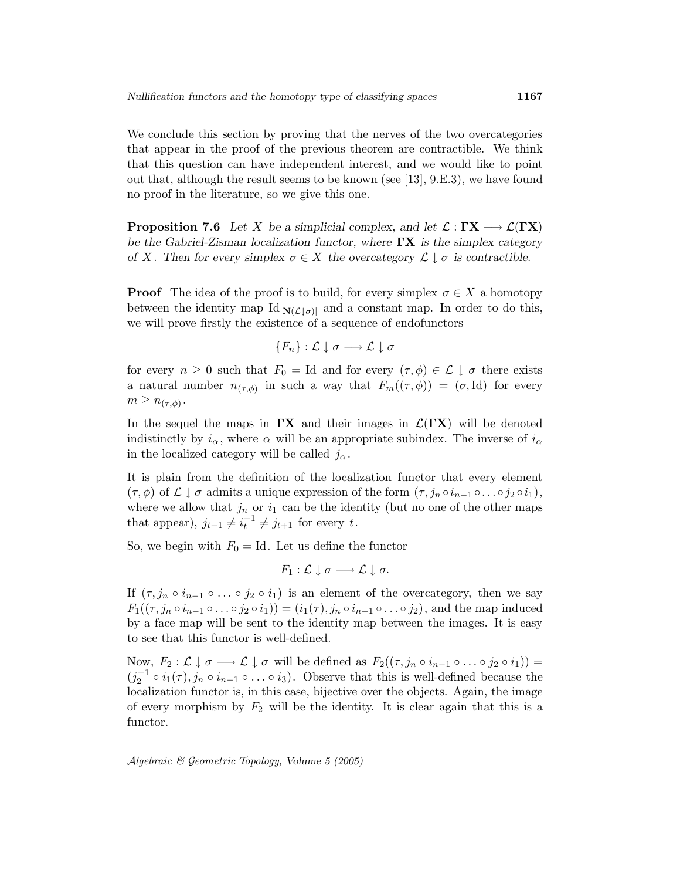We conclude this section by proving that the nerves of the two overcategories that appear in the proof of the previous theorem are contractible. We think that this question can have independent interest, and we would like to point out that, although the result seems to be known (see [13], 9.E.3), we have found no proof in the literature, so we give this one.

**Proposition 7.6** Let X be a simplicial complex, and let  $\mathcal{L}: \Gamma X \longrightarrow \mathcal{L}(\Gamma X)$ be the Gabriel-Zisman localization functor, where  $\Gamma X$  is the simplex category of X. Then for every simplex  $\sigma \in X$  the overcategory  $\mathcal{L} \downarrow \sigma$  is contractible.

**Proof** The idea of the proof is to build, for every simplex  $\sigma \in X$  a homotopy between the identity map  $\text{Id}_{|\mathbf{N}(\mathcal{L} \downarrow \sigma)|}$  and a constant map. In order to do this, we will prove firstly the existence of a sequence of endofunctors

$$
\{F_n\}:\mathcal{L}\downarrow\sigma\longrightarrow\mathcal{L}\downarrow\sigma
$$

for every  $n \geq 0$  such that  $F_0 = \text{Id}$  and for every  $(\tau, \phi) \in \mathcal{L} \downarrow \sigma$  there exists a natural number  $n_{(\tau,\phi)}$  in such a way that  $F_m((\tau,\phi)) = (\sigma,\mathrm{Id})$  for every  $m \geq n_{(\tau,\phi)}$ .

In the sequel the maps in  $\Gamma X$  and their images in  $\mathcal{L}(\Gamma X)$  will be denoted indistinctly by  $i_{\alpha}$ , where  $\alpha$  will be an appropriate subindex. The inverse of  $i_{\alpha}$ in the localized category will be called  $j_{\alpha}$ .

It is plain from the definition of the localization functor that every element  $(\tau,\phi)$  of  $\mathcal{L} \downarrow \sigma$  admits a unique expression of the form  $(\tau,j_n \circ i_{n-1} \circ \ldots \circ j_2 \circ i_1),$ where we allow that  $j_n$  or  $i_1$  can be the identity (but no one of the other maps that appear),  $j_{t-1} \neq i_t^{-1} \neq j_{t+1}$  for every t.

So, we begin with  $F_0 = Id$ . Let us define the functor

$$
F_1:\mathcal{L}\downarrow\sigma\longrightarrow\mathcal{L}\downarrow\sigma.
$$

If  $(\tau, j_n \circ i_{n-1} \circ \ldots \circ j_2 \circ i_1)$  is an element of the overcategory, then we say  $F_1((\tau,j_n\circ i_{n-1}\circ\ldots\circ j_2\circ i_1))=(i_1(\tau),j_n\circ i_{n-1}\circ\ldots\circ j_2),$  and the map induced by a face map will be sent to the identity map between the images. It is easy to see that this functor is well-defined.

Now,  $F_2: \mathcal{L} \downarrow \sigma \longrightarrow \mathcal{L} \downarrow \sigma$  will be defined as  $F_2((\tau, j_n \circ i_{n-1} \circ \ldots \circ j_2 \circ i_1)) =$  $(j_2^{-1} \circ i_1(\tau), j_n \circ i_{n-1} \circ \ldots \circ i_3)$ . Observe that this is well-defined because the localization functor is, in this case, bijective over the objects. Again, the image of every morphism by  $F_2$  will be the identity. It is clear again that this is a functor.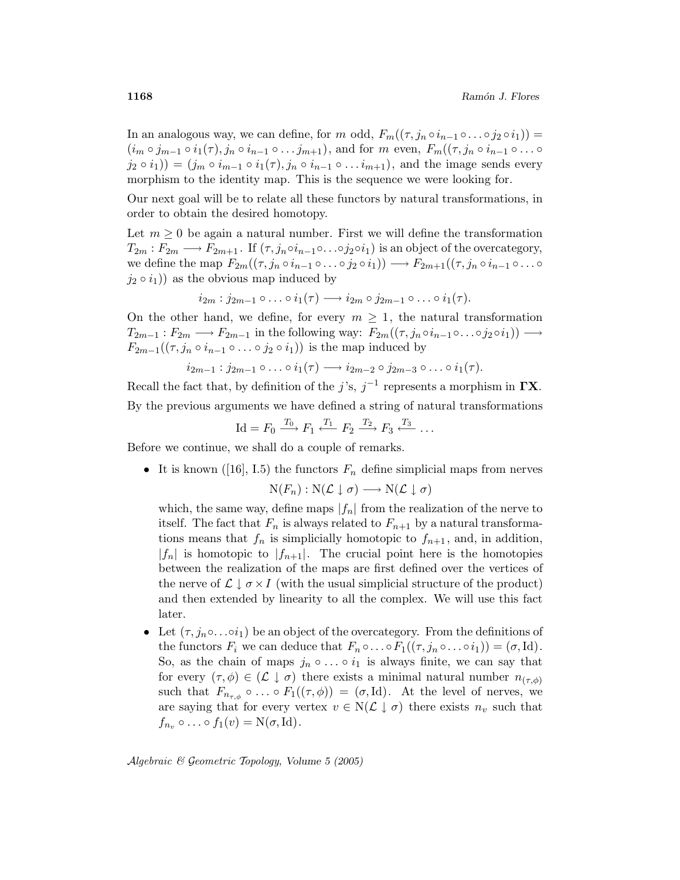In an analogous way, we can define, for m odd,  $F_m((\tau,j_n \circ i_{n-1} \circ \ldots \circ j_2 \circ i_1)) =$  $(i_m \circ j_{m-1} \circ i_1(\tau), j_n \circ i_{n-1} \circ \ldots j_{m+1}),$  and for m even,  $F_m((\tau, j_n \circ i_{n-1} \circ \ldots \circ j_m))$  $(j_2 \circ i_1) = (j_m \circ i_{m-1} \circ i_1(\tau), j_n \circ i_{n-1} \circ \ldots i_{m+1}),$  and the image sends every morphism to the identity map. This is the sequence we were looking for.

Our next goal will be to relate all these functors by natural transformations, in order to obtain the desired homotopy.

Let  $m \geq 0$  be again a natural number. First we will define the transformation  $T_{2m}: F_{2m} \longrightarrow F_{2m+1}$ . If  $(\tau, j_n \circ i_{n-1} \circ \ldots \circ j_2 \circ i_1)$  is an object of the overcategory, we define the map  $F_{2m}((\tau,j_n \circ i_{n-1} \circ \ldots \circ j_2 \circ i_1)) \longrightarrow F_{2m+1}((\tau,j_n \circ i_{n-1} \circ \ldots \circ j_n \circ j_n))$  $(j_2 \circ i_1)$  as the obvious map induced by

$$
i_{2m} : j_{2m-1} \circ \ldots \circ i_1(\tau) \longrightarrow i_{2m} \circ j_{2m-1} \circ \ldots \circ i_1(\tau).
$$

On the other hand, we define, for every  $m \geq 1$ , the natural transformation  $T_{2m-1}: F_{2m} \longrightarrow F_{2m-1}$  in the following way:  $F_{2m}((\tau,j_n \circ i_{n-1} \circ \ldots \circ j_2 \circ i_1)) \longrightarrow$  $F_{2m-1}((\tau,j_n \circ i_{n-1} \circ \ldots \circ j_2 \circ i_1))$  is the map induced by

$$
i_{2m-1} : j_{2m-1} \circ \ldots \circ i_1(\tau) \longrightarrow i_{2m-2} \circ j_{2m-3} \circ \ldots \circ i_1(\tau).
$$

Recall the fact that, by definition of the j's,  $j^{-1}$  represents a morphism in  $\Gamma X$ . By the previous arguments we have defined a string of natural transformations

$$
\mathrm{Id}=F_0 \xrightarrow{T_0} F_1 \xleftarrow{T_1} F_2 \xrightarrow{T_2} F_3 \xleftarrow{T_3} \dots
$$

Before we continue, we shall do a couple of remarks.

• It is known ([16], I.5) the functors  $F_n$  define simplicial maps from nerves  $N(F_n): N(\mathcal{L} \downarrow \sigma) \longrightarrow N(\mathcal{L} \downarrow \sigma)$ 

which, the same way, define maps  $|f_n|$  from the realization of the nerve to itself. The fact that  $F_n$  is always related to  $F_{n+1}$  by a natural transformations means that  $f_n$  is simplicially homotopic to  $f_{n+1}$ , and, in addition,  $|f_n|$  is homotopic to  $|f_{n+1}|$ . The crucial point here is the homotopies between the realization of the maps are first defined over the vertices of the nerve of  $\mathcal{L} \downarrow \sigma \times I$  (with the usual simplicial structure of the product) and then extended by linearity to all the complex. We will use this fact later.

• Let  $(\tau, j_n \circ \ldots \circ i_1)$  be an object of the overcategory. From the definitions of the functors  $F_i$  we can deduce that  $F_n \circ \dots \circ F_1((\tau, j_n \circ \dots \circ i_1)) = (\sigma, \text{Id}).$ So, as the chain of maps  $j_n \circ \dots \circ i_1$  is always finite, we can say that for every  $(\tau,\phi) \in (\mathcal{L} \downarrow \sigma)$  there exists a minimal natural number  $n_{(\tau,\phi)}$ such that  $F_{n_{\tau,\phi}} \circ \ldots \circ F_1((\tau,\phi)) = (\sigma,\mathrm{Id})$ . At the level of nerves, we are saying that for every vertex  $v \in N(\mathcal{L} \downarrow \sigma)$  there exists  $n_v$  such that  $f_{n_v} \circ \ldots \circ f_1(v) = N(\sigma, Id).$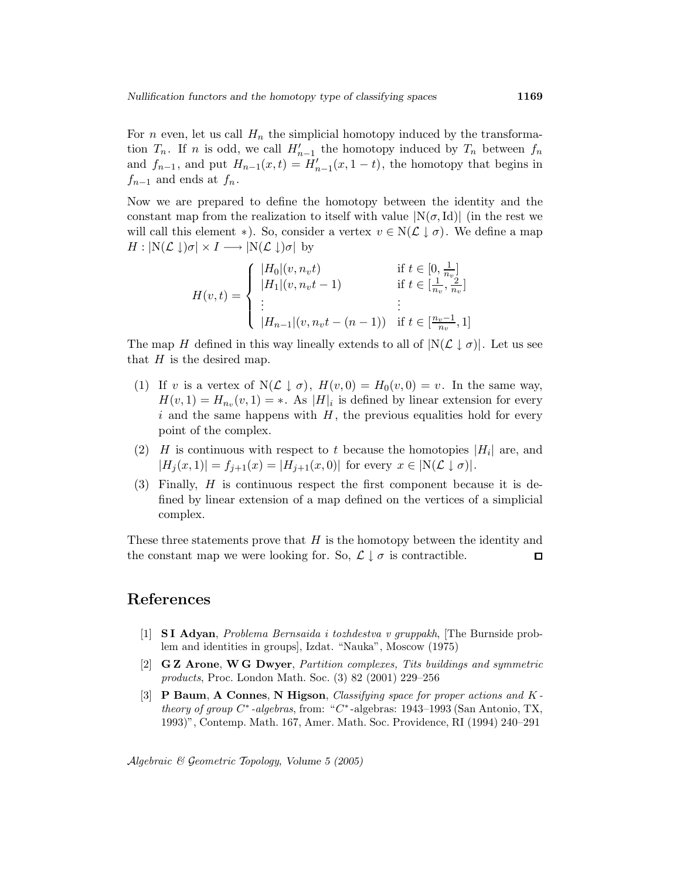For n even, let us call  $H_n$  the simplicial homotopy induced by the transformation  $T_n$ . If n is odd, we call  $H'_{n-1}$  the homotopy induced by  $T_n$  between  $f_n$ and  $f_{n-1}$ , and put  $H_{n-1}(x,t) = H'_{n-1}(x,1-t)$ , the homotopy that begins in  $f_{n-1}$  and ends at  $f_n$ .

Now we are prepared to define the homotopy between the identity and the constant map from the realization to itself with value  $N(\sigma, Id)$  (in the rest we will call this element ∗). So, consider a vertex  $v \in N(\mathcal{L} \downarrow \sigma)$ . We define a map  $H: \left\vert N(\mathcal{L}\downarrow)\sigma \right\vert \times I \longrightarrow \left\vert N(\mathcal{L}\downarrow)\sigma \right\vert$  by

$$
H(v,t) = \begin{cases} |H_0|(v, n_v t) & \text{if } t \in [0, \frac{1}{n_v}] \\ |H_1|(v, n_v t - 1) & \text{if } t \in [\frac{1}{n_v}, \frac{2}{n_v}] \\ \vdots & \vdots \\ |H_{n-1}|(v, n_v t - (n-1)) & \text{if } t \in [\frac{n_v - 1}{n_v}, 1] \end{cases}
$$

The map H defined in this way lineally extends to all of  $|N(\mathcal{L} \downarrow \sigma)|$ . Let us see that  $H$  is the desired map.

- (1) If v is a vertex of  $N(\mathcal{L} \downarrow \sigma)$ ,  $H(v, 0) = H_0(v, 0) = v$ . In the same way,  $H(v, 1) = H_{n_v}(v, 1) = *$ . As  $|H|_i$  is defined by linear extension for every i and the same happens with  $H$ , the previous equalities hold for every point of the complex.
- (2) H is continuous with respect to t because the homotopies  $|H_i|$  are, and  $|H_j(x, 1)| = f_{j+1}(x) = |H_{j+1}(x, 0)|$  for every  $x \in \mathbb{N}(\mathcal{L} \downarrow \sigma)|$ .
- (3) Finally, H is continuous respect the first component because it is defined by linear extension of a map defined on the vertices of a simplicial complex.

These three statements prove that  $H$  is the homotopy between the identity and the constant map we were looking for. So,  $\mathcal{L} \downarrow \sigma$  is contractible.  $\Box$ 

### References

- [1] S I Adyan, Problema Bernsaida i tozhdestva v gruppakh, [The Burnside problem and identities in groups], Izdat. "Nauka", Moscow (1975)
- [2] G Z Arone, W G Dwyer, Partition complexes, Tits buildings and symmetric products, Proc. London Math. Soc. (3) 82 (2001) 229–256
- [3] P Baum, A Connes, N Higson, Classifying space for proper actions and K theory of group  $C^*$ -algebras, from: " $C^*$ -algebras: 1943–1993 (San Antonio, TX, 1993)", Contemp. Math. 167, Amer. Math. Soc. Providence, RI (1994) 240–291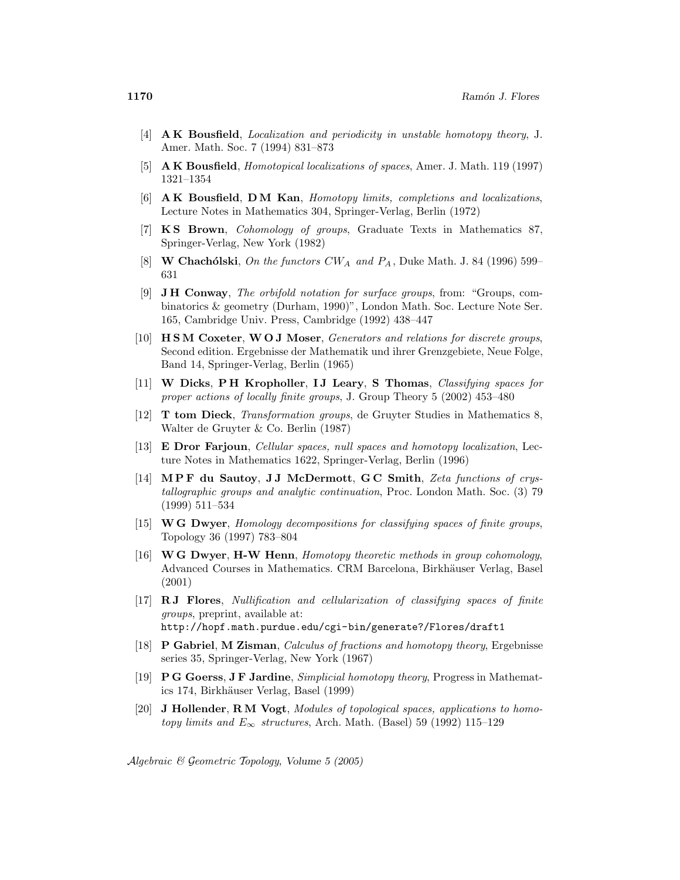- [4] A K Bousfield, Localization and periodicity in unstable homotopy theory, J. Amer. Math. Soc. 7 (1994) 831–873
- [5] A K Bousfield, Homotopical localizations of spaces, Amer. J. Math. 119 (1997) 1321–1354
- [6] A K Bousfield, D M Kan, Homotopy limits, completions and localizations, Lecture Notes in Mathematics 304, Springer-Verlag, Berlin (1972)
- [7] K S Brown, Cohomology of groups, Graduate Texts in Mathematics 87, Springer-Verlag, New York (1982)
- [8] W Chachólski, On the functors  $CW_A$  and  $P_A$ , Duke Math. J. 84 (1996) 599– 631
- [9] J H Conway, The orbifold notation for surface groups, from: "Groups, combinatorics & geometry (Durham, 1990)", London Math. Soc. Lecture Note Ser. 165, Cambridge Univ. Press, Cambridge (1992) 438–447
- [10] H SM Coxeter, W O J Moser, Generators and relations for discrete groups, Second edition. Ergebnisse der Mathematik und ihrer Grenzgebiete, Neue Folge, Band 14, Springer-Verlag, Berlin (1965)
- [11] W Dicks, PH Kropholler, IJ Leary, S Thomas, Classifying spaces for proper actions of locally finite groups, J. Group Theory 5 (2002) 453–480
- [12] T tom Dieck, Transformation groups, de Gruyter Studies in Mathematics 8, Walter de Gruyter & Co. Berlin (1987)
- [13] E Dror Farjoun, Cellular spaces, null spaces and homotopy localization, Lecture Notes in Mathematics 1622, Springer-Verlag, Berlin (1996)
- [14] MPF du Sautoy, JJ McDermott, GC Smith, Zeta functions of crystallographic groups and analytic continuation, Proc. London Math. Soc. (3) 79 (1999) 511–534
- [15] W G Dwyer, Homology decompositions for classifying spaces of finite groups, Topology 36 (1997) 783–804
- [16] W G Dwyer, H-W Henn, Homotopy theoretic methods in group cohomology, Advanced Courses in Mathematics. CRM Barcelona, Birkhäuser Verlag, Basel (2001)
- [17] R J Flores, Nullification and cellularization of classifying spaces of finite groups, preprint, available at: http://hopf.math.purdue.edu/cgi-bin/generate?/Flores/draft1
- [18] P Gabriel, M Zisman, Calculus of fractions and homotopy theory, Ergebnisse series 35, Springer-Verlag, New York (1967)
- [19] P G Goerss, J F Jardine, Simplicial homotopy theory, Progress in Mathematics 174, Birkh¨auser Verlag, Basel (1999)
- [20] J Hollender, R M Vogt, Modules of topological spaces, applications to homotopy limits and  $E_{\infty}$  structures, Arch. Math. (Basel) 59 (1992) 115–129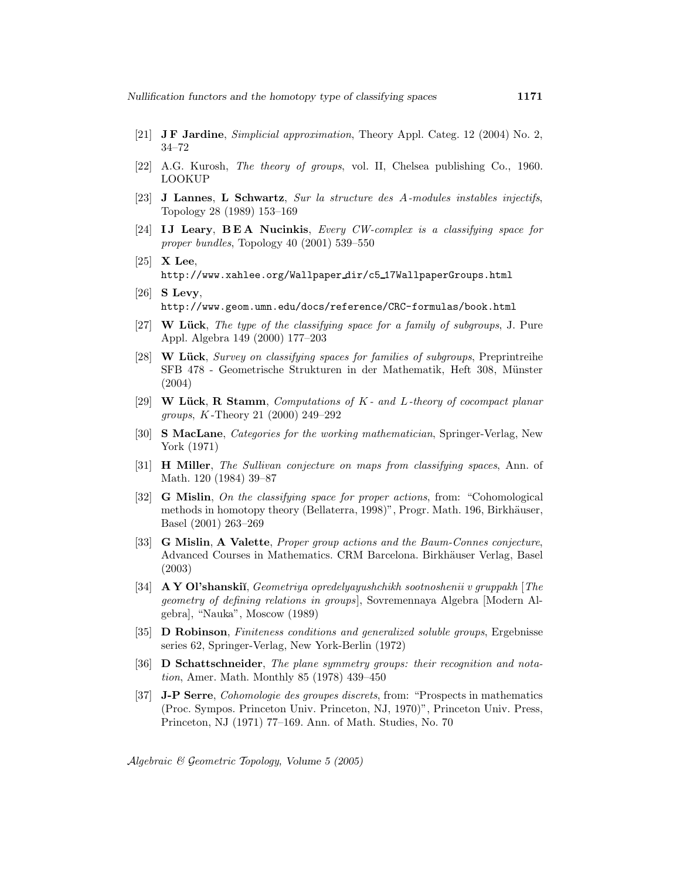- [21] J F Jardine, Simplicial approximation, Theory Appl. Categ. 12 (2004) No. 2, 34–72
- [22] A.G. Kurosh, The theory of groups, vol. II, Chelsea publishing Co., 1960. LOOKUP
- [23] J Lannes, L Schwartz, Sur la structure des A-modules instables injectifs, Topology 28 (1989) 153–169
- [24] IJ Leary, BEA Nucinkis, Every CW-complex is a classifying space for proper bundles, Topology 40 (2001) 539–550
- [25] X Lee, http://www.xahlee.org/Wallpaper dir/c5 17WallpaperGroups.html
- $[26]$  S Levy, http://www.geom.umn.edu/docs/reference/CRC-formulas/book.html
- [27] W Lück, The type of the classifying space for a family of subgroups, J. Pure Appl. Algebra 149 (2000) 177–203
- [28] W Lück, Survey on classifying spaces for families of subgroups, Preprintreihe SFB 478 - Geometrische Strukturen in der Mathematik, Heft 308, Münster (2004)
- [29] W Lück, R Stamm, Computations of  $K$  and L-theory of cocompact planar groups, K -Theory 21 (2000) 249–292
- [30] S MacLane, Categories for the working mathematician, Springer-Verlag, New York (1971)
- [31] H Miller, The Sullivan conjecture on maps from classifying spaces, Ann. of Math. 120 (1984) 39–87
- [32] G Mislin, On the classifying space for proper actions, from: "Cohomological methods in homotopy theory (Bellaterra, 1998)", Progr. Math. 196, Birkhäuser, Basel (2001) 263–269
- [33] G Mislin, A Valette, Proper group actions and the Baum-Connes conjecture, Advanced Courses in Mathematics. CRM Barcelona. Birkhäuser Verlag, Basel (2003)
- [34] A Y Ol'shanskiı̆, Geometriya opredelyayushchikh sootnoshenii v gruppakh [The geometry of defining relations in groups], Sovremennaya Algebra [Modern Algebra], "Nauka", Moscow (1989)
- [35] D Robinson, Finiteness conditions and generalized soluble groups, Ergebnisse series 62, Springer-Verlag, New York-Berlin (1972)
- [36] D Schattschneider, The plane symmetry groups: their recognition and notation, Amer. Math. Monthly 85 (1978) 439–450
- [37] J-P Serre, Cohomologie des groupes discrets, from: "Prospects in mathematics (Proc. Sympos. Princeton Univ. Princeton, NJ, 1970)", Princeton Univ. Press, Princeton, NJ (1971) 77–169. Ann. of Math. Studies, No. 70